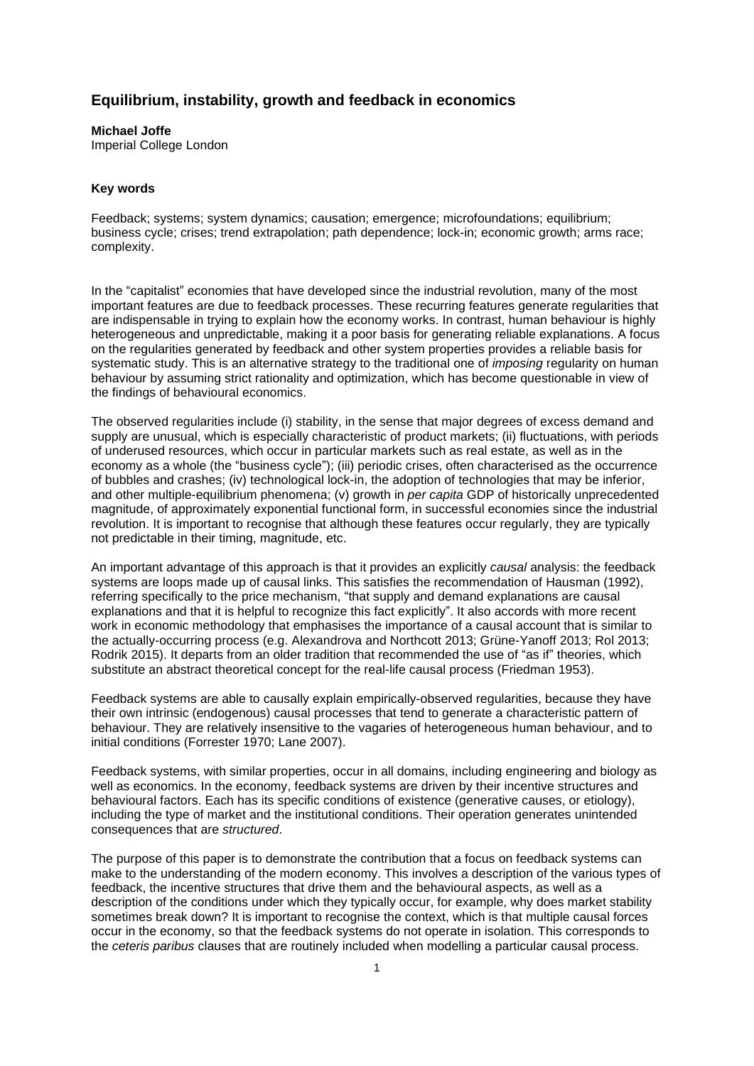# **Equilibrium, instability, growth and feedback in economics**

## **Michael Joffe**

Imperial College London

### **Key words**

Feedback; systems; system dynamics; causation; emergence; microfoundations; equilibrium; business cycle; crises; trend extrapolation; path dependence; lock-in; economic growth; arms race; complexity.

In the "capitalist" economies that have developed since the industrial revolution, many of the most important features are due to feedback processes. These recurring features generate regularities that are indispensable in trying to explain how the economy works. In contrast, human behaviour is highly heterogeneous and unpredictable, making it a poor basis for generating reliable explanations. A focus on the regularities generated by feedback and other system properties provides a reliable basis for systematic study. This is an alternative strategy to the traditional one of *imposing* regularity on human behaviour by assuming strict rationality and optimization, which has become questionable in view of the findings of behavioural economics.

The observed regularities include (i) stability, in the sense that major degrees of excess demand and supply are unusual, which is especially characteristic of product markets; (ii) fluctuations, with periods of underused resources, which occur in particular markets such as real estate, as well as in the economy as a whole (the "business cycle"); (iii) periodic crises, often characterised as the occurrence of bubbles and crashes; (iv) technological lock-in, the adoption of technologies that may be inferior, and other multiple-equilibrium phenomena; (v) growth in *per capita* GDP of historically unprecedented magnitude, of approximately exponential functional form, in successful economies since the industrial revolution. It is important to recognise that although these features occur regularly, they are typically not predictable in their timing, magnitude, etc.

An important advantage of this approach is that it provides an explicitly *causal* analysis: the feedback systems are loops made up of causal links. This satisfies the recommendation of Hausman (1992), referring specifically to the price mechanism, "that supply and demand explanations are causal explanations and that it is helpful to recognize this fact explicitly". It also accords with more recent work in economic methodology that emphasises the importance of a causal account that is similar to the actually-occurring process (e.g. Alexandrova and Northcott 2013; Grüne-Yanoff 2013; Rol 2013; Rodrik 2015). It departs from an older tradition that recommended the use of "as if" theories, which substitute an abstract theoretical concept for the real-life causal process (Friedman 1953).

Feedback systems are able to causally explain empirically-observed regularities, because they have their own intrinsic (endogenous) causal processes that tend to generate a characteristic pattern of behaviour. They are relatively insensitive to the vagaries of heterogeneous human behaviour, and to initial conditions (Forrester 1970; Lane 2007).

Feedback systems, with similar properties, occur in all domains, including engineering and biology as well as economics. In the economy, feedback systems are driven by their incentive structures and behavioural factors. Each has its specific conditions of existence (generative causes, or etiology), including the type of market and the institutional conditions. Their operation generates unintended consequences that are *structured*.

The purpose of this paper is to demonstrate the contribution that a focus on feedback systems can make to the understanding of the modern economy. This involves a description of the various types of feedback, the incentive structures that drive them and the behavioural aspects, as well as a description of the conditions under which they typically occur, for example, why does market stability sometimes break down? It is important to recognise the context, which is that multiple causal forces occur in the economy, so that the feedback systems do not operate in isolation. This corresponds to the *ceteris paribus* clauses that are routinely included when modelling a particular causal process.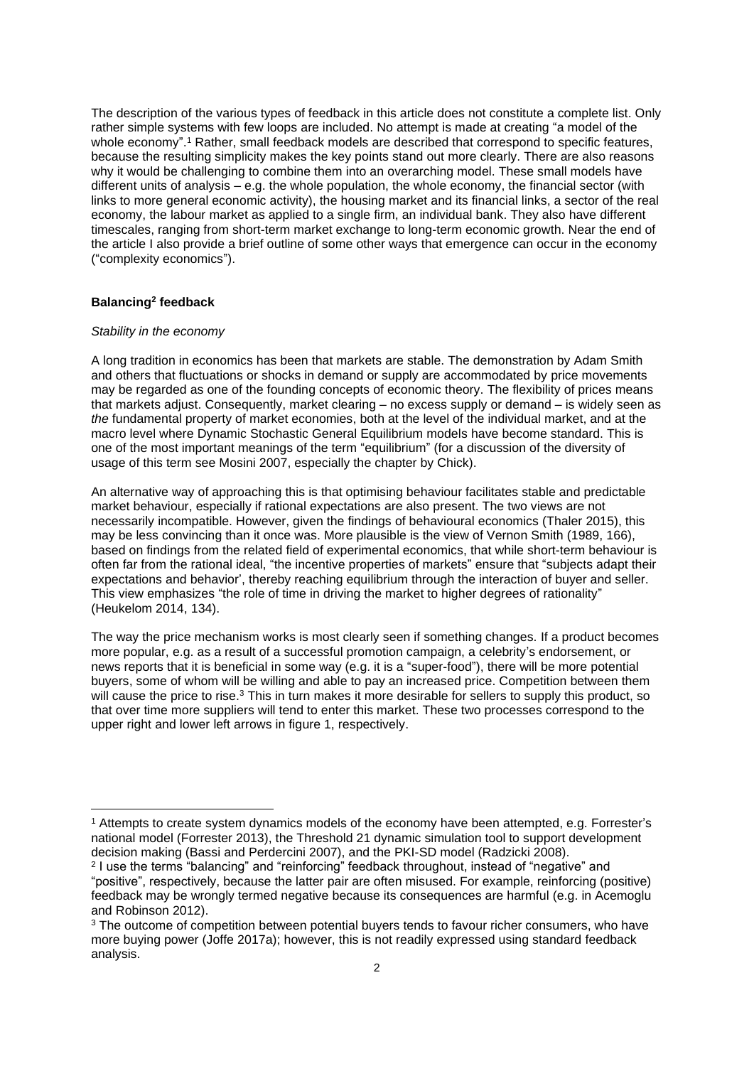The description of the various types of feedback in this article does not constitute a complete list. Only rather simple systems with few loops are included. No attempt is made at creating "a model of the whole economy". <sup>1</sup> Rather, small feedback models are described that correspond to specific features, because the resulting simplicity makes the key points stand out more clearly. There are also reasons why it would be challenging to combine them into an overarching model. These small models have different units of analysis – e.g. the whole population, the whole economy, the financial sector (with links to more general economic activity), the housing market and its financial links, a sector of the real economy, the labour market as applied to a single firm, an individual bank. They also have different timescales, ranging from short-term market exchange to long-term economic growth. Near the end of the article I also provide a brief outline of some other ways that emergence can occur in the economy ("complexity economics").

#### **Balancing<sup>2</sup> feedback**

### *Stability in the economy*

A long tradition in economics has been that markets are stable. The demonstration by Adam Smith and others that fluctuations or shocks in demand or supply are accommodated by price movements may be regarded as one of the founding concepts of economic theory. The flexibility of prices means that markets adjust. Consequently, market clearing – no excess supply or demand – is widely seen as *the* fundamental property of market economies, both at the level of the individual market, and at the macro level where Dynamic Stochastic General Equilibrium models have become standard. This is one of the most important meanings of the term "equilibrium" (for a discussion of the diversity of usage of this term see Mosini 2007, especially the chapter by Chick).

An alternative way of approaching this is that optimising behaviour facilitates stable and predictable market behaviour, especially if rational expectations are also present. The two views are not necessarily incompatible. However, given the findings of behavioural economics (Thaler 2015), this may be less convincing than it once was. More plausible is the view of Vernon Smith (1989, 166), based on findings from the related field of experimental economics, that while short-term behaviour is often far from the rational ideal, "the incentive properties of markets" ensure that "subjects adapt their expectations and behavior', thereby reaching equilibrium through the interaction of buyer and seller. This view emphasizes "the role of time in driving the market to higher degrees of rationality" (Heukelom 2014, 134).

The way the price mechanism works is most clearly seen if something changes. If a product becomes more popular, e.g. as a result of a successful promotion campaign, a celebrity's endorsement, or news reports that it is beneficial in some way (e.g. it is a "super-food"), there will be more potential buyers, some of whom will be willing and able to pay an increased price. Competition between them will cause the price to rise.<sup>3</sup> This in turn makes it more desirable for sellers to supply this product, so that over time more suppliers will tend to enter this market. These two processes correspond to the upper right and lower left arrows in figure 1, respectively.

<sup>&</sup>lt;sup>1</sup> Attempts to create system dynamics models of the economy have been attempted, e.g. Forrester's national model (Forrester 2013), the Threshold 21 dynamic simulation tool to support development decision making (Bassi and Perdercini 2007), and the PKI-SD model (Radzicki 2008).

<sup>2</sup> I use the terms "balancing" and "reinforcing" feedback throughout, instead of "negative" and "positive", respectively, because the latter pair are often misused. For example, reinforcing (positive) feedback may be wrongly termed negative because its consequences are harmful (e.g. in Acemoglu and Robinson 2012).

<sup>&</sup>lt;sup>3</sup> The outcome of competition between potential buyers tends to favour richer consumers, who have more buying power (Joffe 2017a); however, this is not readily expressed using standard feedback analysis.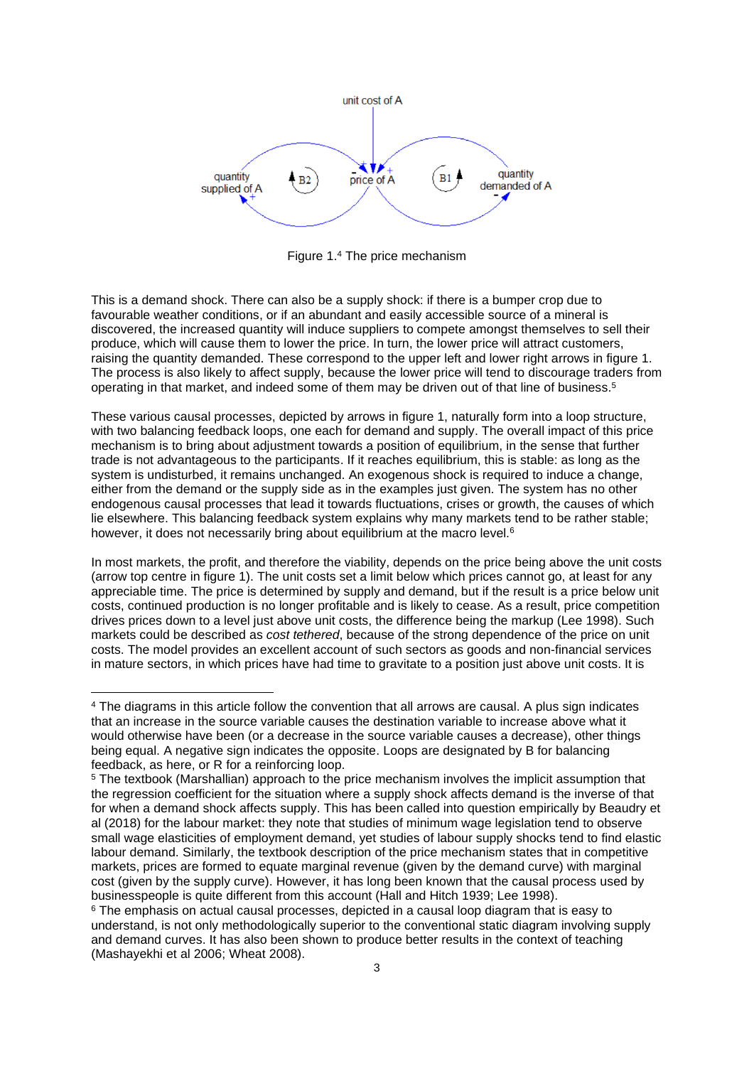

Figure 1.<sup>4</sup> The price mechanism

This is a demand shock. There can also be a supply shock: if there is a bumper crop due to favourable weather conditions, or if an abundant and easily accessible source of a mineral is discovered, the increased quantity will induce suppliers to compete amongst themselves to sell their produce, which will cause them to lower the price. In turn, the lower price will attract customers, raising the quantity demanded. These correspond to the upper left and lower right arrows in figure 1. The process is also likely to affect supply, because the lower price will tend to discourage traders from operating in that market, and indeed some of them may be driven out of that line of business.<sup>5</sup>

These various causal processes, depicted by arrows in figure 1, naturally form into a loop structure, with two balancing feedback loops, one each for demand and supply. The overall impact of this price mechanism is to bring about adjustment towards a position of equilibrium, in the sense that further trade is not advantageous to the participants. If it reaches equilibrium, this is stable: as long as the system is undisturbed, it remains unchanged. An exogenous shock is required to induce a change, either from the demand or the supply side as in the examples just given. The system has no other endogenous causal processes that lead it towards fluctuations, crises or growth, the causes of which lie elsewhere. This balancing feedback system explains why many markets tend to be rather stable; however, it does not necessarily bring about equilibrium at the macro level.<sup>6</sup>

In most markets, the profit, and therefore the viability, depends on the price being above the unit costs (arrow top centre in figure 1). The unit costs set a limit below which prices cannot go, at least for any appreciable time. The price is determined by supply and demand, but if the result is a price below unit costs, continued production is no longer profitable and is likely to cease. As a result, price competition drives prices down to a level just above unit costs, the difference being the markup (Lee 1998). Such markets could be described as *cost tethered*, because of the strong dependence of the price on unit costs. The model provides an excellent account of such sectors as goods and non-financial services in mature sectors, in which prices have had time to gravitate to a position just above unit costs. It is

<sup>4</sup> The diagrams in this article follow the convention that all arrows are causal. A plus sign indicates that an increase in the source variable causes the destination variable to increase above what it would otherwise have been (or a decrease in the source variable causes a decrease), other things being equal. A negative sign indicates the opposite. Loops are designated by B for balancing feedback, as here, or R for a reinforcing loop.

<sup>5</sup> The textbook (Marshallian) approach to the price mechanism involves the implicit assumption that the regression coefficient for the situation where a supply shock affects demand is the inverse of that for when a demand shock affects supply. This has been called into question empirically by Beaudry et al (2018) for the labour market: they note that studies of minimum wage legislation tend to observe small wage elasticities of employment demand, yet studies of labour supply shocks tend to find elastic labour demand. Similarly, the textbook description of the price mechanism states that in competitive markets, prices are formed to equate marginal revenue (given by the demand curve) with marginal cost (given by the supply curve). However, it has long been known that the causal process used by businesspeople is quite different from this account (Hall and Hitch 1939; Lee 1998).

 $6$  The emphasis on actual causal processes, depicted in a causal loop diagram that is easy to understand, is not only methodologically superior to the conventional static diagram involving supply and demand curves. It has also been shown to produce better results in the context of teaching (Mashayekhi et al 2006; Wheat 2008).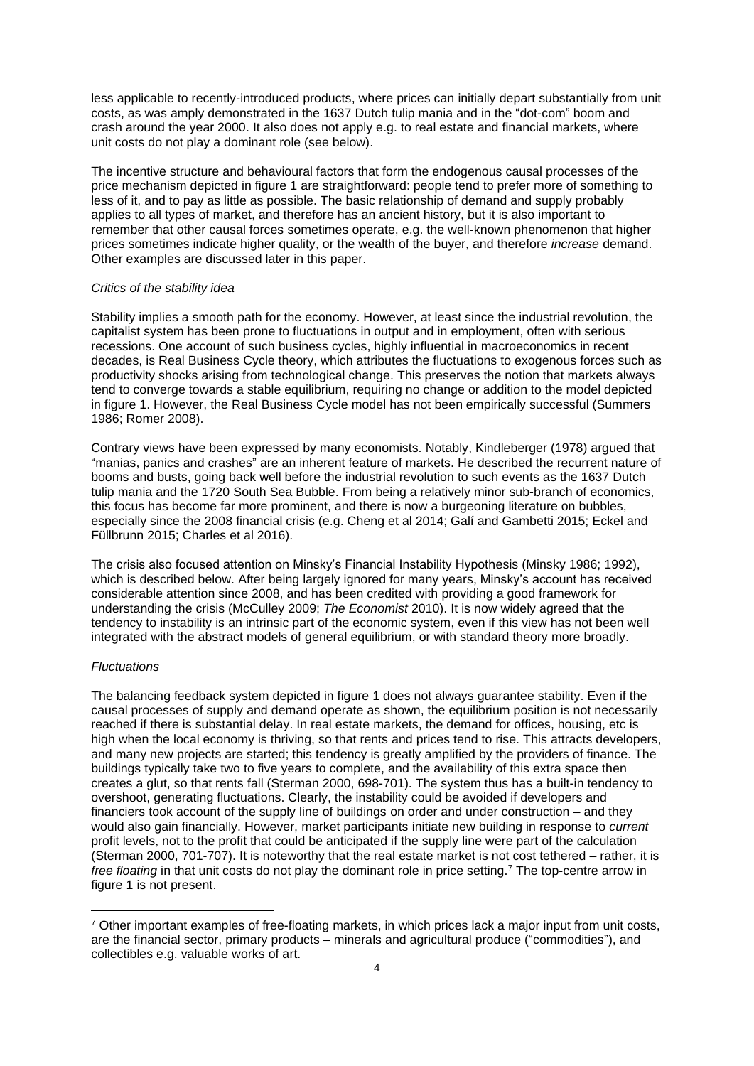less applicable to recently-introduced products, where prices can initially depart substantially from unit costs, as was amply demonstrated in the 1637 Dutch tulip mania and in the "dot-com" boom and crash around the year 2000. It also does not apply e.g. to real estate and financial markets, where unit costs do not play a dominant role (see below).

The incentive structure and behavioural factors that form the endogenous causal processes of the price mechanism depicted in figure 1 are straightforward: people tend to prefer more of something to less of it, and to pay as little as possible. The basic relationship of demand and supply probably applies to all types of market, and therefore has an ancient history, but it is also important to remember that other causal forces sometimes operate, e.g. the well-known phenomenon that higher prices sometimes indicate higher quality, or the wealth of the buyer, and therefore *increase* demand. Other examples are discussed later in this paper.

# *Critics of the stability idea*

Stability implies a smooth path for the economy. However, at least since the industrial revolution, the capitalist system has been prone to fluctuations in output and in employment, often with serious recessions. One account of such business cycles, highly influential in macroeconomics in recent decades, is Real Business Cycle theory, which attributes the fluctuations to exogenous forces such as productivity shocks arising from technological change. This preserves the notion that markets always tend to converge towards a stable equilibrium, requiring no change or addition to the model depicted in figure 1. However, the Real Business Cycle model has not been empirically successful (Summers 1986; Romer 2008).

Contrary views have been expressed by many economists. Notably, Kindleberger (1978) argued that "manias, panics and crashes" are an inherent feature of markets. He described the recurrent nature of booms and busts, going back well before the industrial revolution to such events as the 1637 Dutch tulip mania and the 1720 South Sea Bubble. From being a relatively minor sub-branch of economics, this focus has become far more prominent, and there is now a burgeoning literature on bubbles, especially since the 2008 financial crisis (e.g. Cheng et al 2014; Galí and Gambetti 2015; Eckel and Füllbrunn 2015; Charles et al 2016).

The crisis also focused attention on Minsky's Financial Instability Hypothesis (Minsky 1986; 1992), which is described below. After being largely ignored for many years, Minsky's account has received considerable attention since 2008, and has been credited with providing a good framework for understanding the crisis (McCulley 2009; *The Economist* 2010). It is now widely agreed that the tendency to instability is an intrinsic part of the economic system, even if this view has not been well integrated with the abstract models of general equilibrium, or with standard theory more broadly.

#### *Fluctuations*

The balancing feedback system depicted in figure 1 does not always guarantee stability. Even if the causal processes of supply and demand operate as shown, the equilibrium position is not necessarily reached if there is substantial delay. In real estate markets, the demand for offices, housing, etc is high when the local economy is thriving, so that rents and prices tend to rise. This attracts developers, and many new projects are started; this tendency is greatly amplified by the providers of finance. The buildings typically take two to five years to complete, and the availability of this extra space then creates a glut, so that rents fall (Sterman 2000, 698-701). The system thus has a built-in tendency to overshoot, generating fluctuations. Clearly, the instability could be avoided if developers and financiers took account of the supply line of buildings on order and under construction – and they would also gain financially. However, market participants initiate new building in response to *current* profit levels, not to the profit that could be anticipated if the supply line were part of the calculation (Sterman 2000, 701-707). It is noteworthy that the real estate market is not cost tethered – rather, it is *free floating* in that unit costs do not play the dominant role in price setting.<sup>7</sup> The top-centre arrow in figure 1 is not present.

 $7$  Other important examples of free-floating markets, in which prices lack a major input from unit costs, are the financial sector, primary products – minerals and agricultural produce ("commodities"), and collectibles e.g. valuable works of art.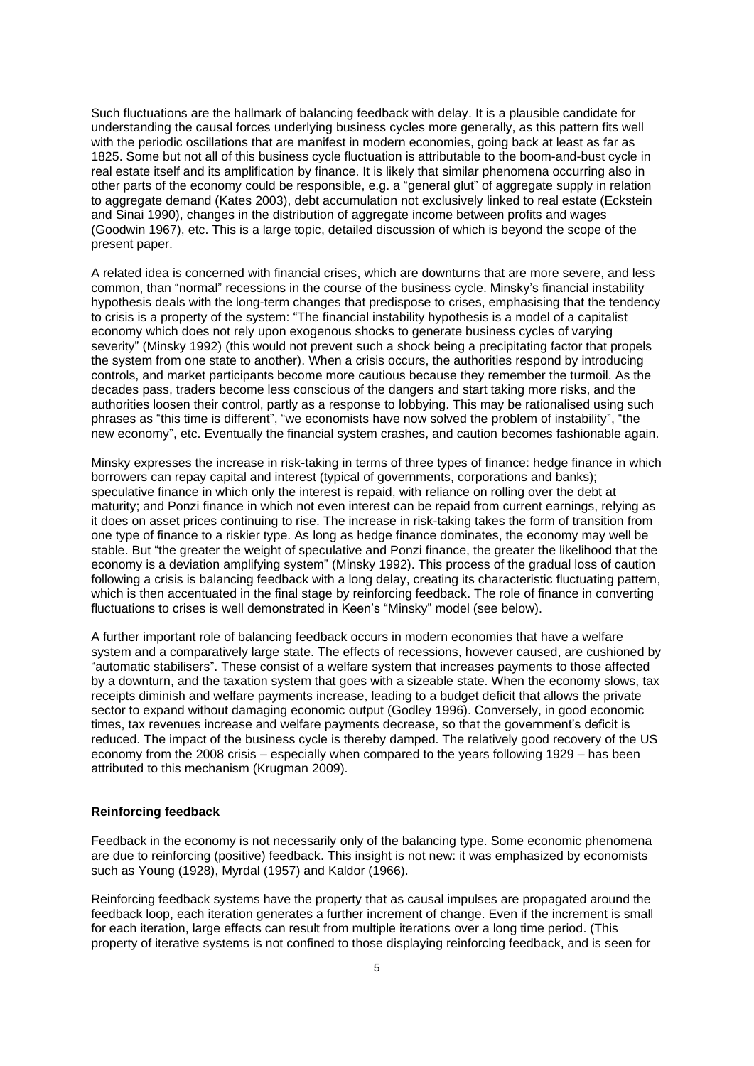Such fluctuations are the hallmark of balancing feedback with delay. It is a plausible candidate for understanding the causal forces underlying business cycles more generally, as this pattern fits well with the periodic oscillations that are manifest in modern economies, going back at least as far as 1825. Some but not all of this business cycle fluctuation is attributable to the boom-and-bust cycle in real estate itself and its amplification by finance. It is likely that similar phenomena occurring also in other parts of the economy could be responsible, e.g. a "general glut" of aggregate supply in relation to aggregate demand (Kates 2003), debt accumulation not exclusively linked to real estate (Eckstein and Sinai 1990), changes in the distribution of aggregate income between profits and wages (Goodwin 1967), etc. This is a large topic, detailed discussion of which is beyond the scope of the present paper.

A related idea is concerned with financial crises, which are downturns that are more severe, and less common, than "normal" recessions in the course of the business cycle. Minsky's financial instability hypothesis deals with the long-term changes that predispose to crises, emphasising that the tendency to crisis is a property of the system: "The financial instability hypothesis is a model of a capitalist economy which does not rely upon exogenous shocks to generate business cycles of varying severity" (Minsky 1992) (this would not prevent such a shock being a precipitating factor that propels the system from one state to another). When a crisis occurs, the authorities respond by introducing controls, and market participants become more cautious because they remember the turmoil. As the decades pass, traders become less conscious of the dangers and start taking more risks, and the authorities loosen their control, partly as a response to lobbying. This may be rationalised using such phrases as "this time is different", "we economists have now solved the problem of instability", "the new economy", etc. Eventually the financial system crashes, and caution becomes fashionable again.

Minsky expresses the increase in risk-taking in terms of three types of finance: hedge finance in which borrowers can repay capital and interest (typical of governments, corporations and banks); speculative finance in which only the interest is repaid, with reliance on rolling over the debt at maturity; and Ponzi finance in which not even interest can be repaid from current earnings, relying as it does on asset prices continuing to rise. The increase in risk-taking takes the form of transition from one type of finance to a riskier type. As long as hedge finance dominates, the economy may well be stable. But "the greater the weight of speculative and Ponzi finance, the greater the likelihood that the economy is a deviation amplifying system" (Minsky 1992). This process of the gradual loss of caution following a crisis is balancing feedback with a long delay, creating its characteristic fluctuating pattern, which is then accentuated in the final stage by reinforcing feedback. The role of finance in converting fluctuations to crises is well demonstrated in Keen's "Minsky" model (see below).

A further important role of balancing feedback occurs in modern economies that have a welfare system and a comparatively large state. The effects of recessions, however caused, are cushioned by "automatic stabilisers". These consist of a welfare system that increases payments to those affected by a downturn, and the taxation system that goes with a sizeable state. When the economy slows, tax receipts diminish and welfare payments increase, leading to a budget deficit that allows the private sector to expand without damaging economic output (Godley 1996). Conversely, in good economic times, tax revenues increase and welfare payments decrease, so that the government's deficit is reduced. The impact of the business cycle is thereby damped. The relatively good recovery of the US economy from the 2008 crisis – especially when compared to the years following 1929 – has been attributed to this mechanism (Krugman 2009).

# **Reinforcing feedback**

Feedback in the economy is not necessarily only of the balancing type. Some economic phenomena are due to reinforcing (positive) feedback. This insight is not new: it was emphasized by economists such as Young (1928), Myrdal (1957) and Kaldor (1966).

Reinforcing feedback systems have the property that as causal impulses are propagated around the feedback loop, each iteration generates a further increment of change. Even if the increment is small for each iteration, large effects can result from multiple iterations over a long time period. (This property of iterative systems is not confined to those displaying reinforcing feedback, and is seen for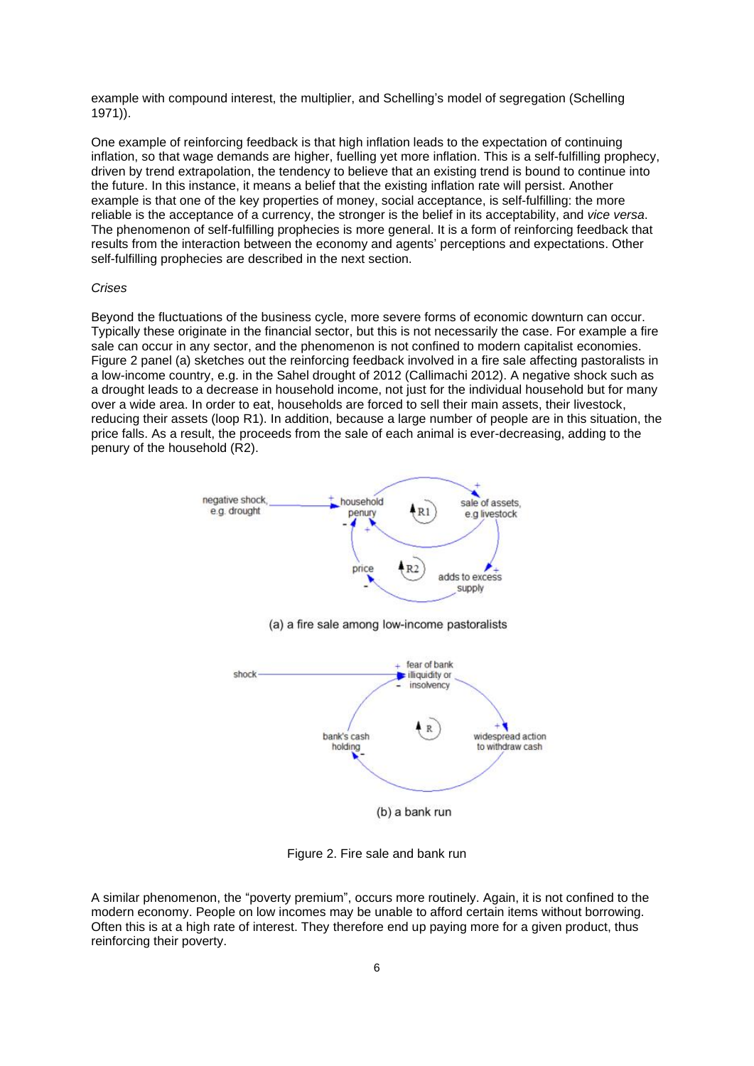example with compound interest, the multiplier, and Schelling's model of segregation (Schelling 1971)).

One example of reinforcing feedback is that high inflation leads to the expectation of continuing inflation, so that wage demands are higher, fuelling yet more inflation. This is a self-fulfilling prophecy, driven by trend extrapolation, the tendency to believe that an existing trend is bound to continue into the future. In this instance, it means a belief that the existing inflation rate will persist. Another example is that one of the key properties of money, social acceptance, is self-fulfilling: the more reliable is the acceptance of a currency, the stronger is the belief in its acceptability, and *vice versa*. The phenomenon of self-fulfilling prophecies is more general. It is a form of reinforcing feedback that results from the interaction between the economy and agents' perceptions and expectations. Other self-fulfilling prophecies are described in the next section.

#### *Crises*

Beyond the fluctuations of the business cycle, more severe forms of economic downturn can occur. Typically these originate in the financial sector, but this is not necessarily the case. For example a fire sale can occur in any sector, and the phenomenon is not confined to modern capitalist economies. Figure 2 panel (a) sketches out the reinforcing feedback involved in a fire sale affecting pastoralists in a low-income country, e.g. in the Sahel drought of 2012 (Callimachi 2012). A negative shock such as a drought leads to a decrease in household income, not just for the individual household but for many over a wide area. In order to eat, households are forced to sell their main assets, their livestock, reducing their assets (loop R1). In addition, because a large number of people are in this situation, the price falls. As a result, the proceeds from the sale of each animal is ever-decreasing, adding to the penury of the household (R2).





Figure 2. Fire sale and bank run

A similar phenomenon, the "poverty premium", occurs more routinely. Again, it is not confined to the modern economy. People on low incomes may be unable to afford certain items without borrowing. Often this is at a high rate of interest. They therefore end up paying more for a given product, thus reinforcing their poverty.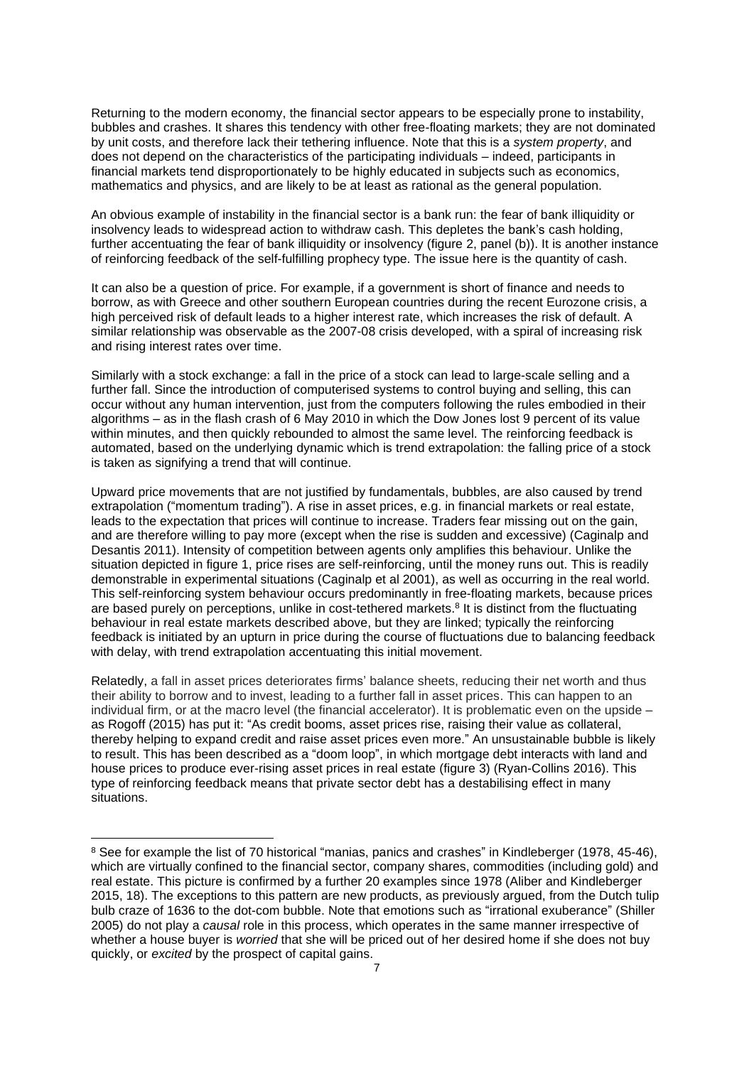Returning to the modern economy, the financial sector appears to be especially prone to instability, bubbles and crashes. It shares this tendency with other free-floating markets; they are not dominated by unit costs, and therefore lack their tethering influence. Note that this is a *system property*, and does not depend on the characteristics of the participating individuals – indeed, participants in financial markets tend disproportionately to be highly educated in subjects such as economics, mathematics and physics, and are likely to be at least as rational as the general population.

An obvious example of instability in the financial sector is a bank run: the fear of bank illiquidity or insolvency leads to widespread action to withdraw cash. This depletes the bank's cash holding, further accentuating the fear of bank illiquidity or insolvency (figure 2, panel (b)). It is another instance of reinforcing feedback of the self-fulfilling prophecy type. The issue here is the quantity of cash.

It can also be a question of price. For example, if a government is short of finance and needs to borrow, as with Greece and other southern European countries during the recent Eurozone crisis, a high perceived risk of default leads to a higher interest rate, which increases the risk of default. A similar relationship was observable as the 2007-08 crisis developed, with a spiral of increasing risk and rising interest rates over time.

Similarly with a stock exchange: a fall in the price of a stock can lead to large-scale selling and a further fall. Since the introduction of computerised systems to control buying and selling, this can occur without any human intervention, just from the computers following the rules embodied in their algorithms – as in the flash crash of 6 May 2010 in which the Dow Jones lost 9 percent of its value within minutes, and then quickly rebounded to almost the same level. The reinforcing feedback is automated, based on the underlying dynamic which is trend extrapolation: the falling price of a stock is taken as signifying a trend that will continue.

Upward price movements that are not justified by fundamentals, bubbles, are also caused by trend extrapolation ("momentum trading"). A rise in asset prices, e.g. in financial markets or real estate, leads to the expectation that prices will continue to increase. Traders fear missing out on the gain, and are therefore willing to pay more (except when the rise is sudden and excessive) (Caginalp and Desantis 2011). Intensity of competition between agents only amplifies this behaviour. Unlike the situation depicted in figure 1, price rises are self-reinforcing, until the money runs out. This is readily demonstrable in experimental situations (Caginalp et al 2001), as well as occurring in the real world. This self-reinforcing system behaviour occurs predominantly in free-floating markets, because prices are based purely on perceptions, unlike in cost-tethered markets.<sup>8</sup> It is distinct from the fluctuating behaviour in real estate markets described above, but they are linked; typically the reinforcing feedback is initiated by an upturn in price during the course of fluctuations due to balancing feedback with delay, with trend extrapolation accentuating this initial movement.

Relatedly, a fall in asset prices deteriorates firms' balance sheets, reducing their net worth and thus their ability to borrow and to invest, leading to a further fall in asset prices. This can happen to an individual firm, or at the macro level (the financial accelerator). It is problematic even on the upside – as Rogoff (2015) has put it: "As credit booms, asset prices rise, raising their value as collateral, thereby helping to expand credit and raise asset prices even more." An unsustainable bubble is likely to result. This has been described as a "doom loop", in which mortgage debt interacts with land and house prices to produce ever-rising asset prices in real estate (figure 3) (Ryan-Collins 2016). This type of reinforcing feedback means that private sector debt has a destabilising effect in many situations.

<sup>&</sup>lt;sup>8</sup> See for example the list of 70 historical "manias, panics and crashes" in Kindleberger (1978, 45-46), which are virtually confined to the financial sector, company shares, commodities (including gold) and real estate. This picture is confirmed by a further 20 examples since 1978 (Aliber and Kindleberger 2015, 18). The exceptions to this pattern are new products, as previously argued, from the Dutch tulip bulb craze of 1636 to the dot-com bubble. Note that emotions such as "irrational exuberance" (Shiller 2005) do not play a *causal* role in this process, which operates in the same manner irrespective of whether a house buyer is *worried* that she will be priced out of her desired home if she does not buy quickly, or *excited* by the prospect of capital gains.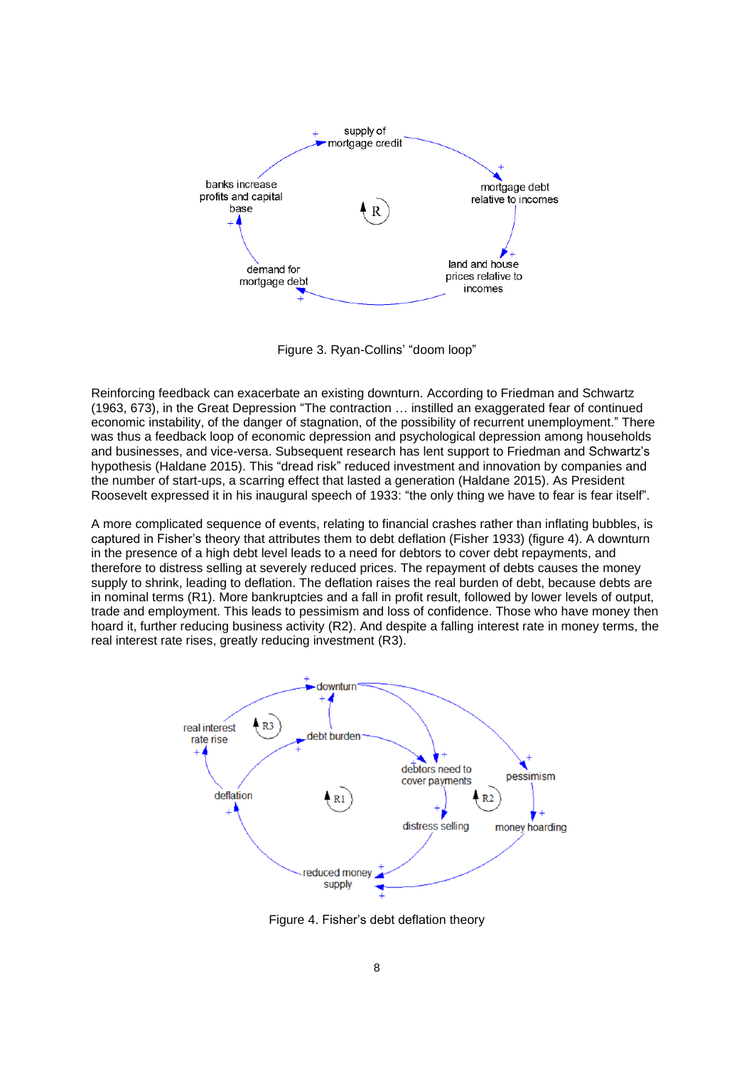

Figure 3. Ryan-Collins' "doom loop"

Reinforcing feedback can exacerbate an existing downturn. According to Friedman and Schwartz (1963, 673), in the Great Depression "The contraction … instilled an exaggerated fear of continued economic instability, of the danger of stagnation, of the possibility of recurrent unemployment." There was thus a feedback loop of economic depression and psychological depression among households and businesses, and vice-versa. Subsequent research has lent support to Friedman and Schwartz's hypothesis (Haldane 2015). This "dread risk" reduced investment and innovation by companies and the number of start-ups, a scarring effect that lasted a generation (Haldane 2015). As President Roosevelt expressed it in his inaugural speech of 1933: "the only thing we have to fear is fear itself".

A more complicated sequence of events, relating to financial crashes rather than inflating bubbles, is captured in Fisher's theory that attributes them to debt deflation (Fisher 1933) (figure 4). A downturn in the presence of a high debt level leads to a need for debtors to cover debt repayments, and therefore to distress selling at severely reduced prices. The repayment of debts causes the money supply to shrink, leading to deflation. The deflation raises the real burden of debt, because debts are in nominal terms (R1). More bankruptcies and a fall in profit result, followed by lower levels of output, trade and employment. This leads to pessimism and loss of confidence. Those who have money then hoard it, further reducing business activity (R2). And despite a falling interest rate in money terms, the real interest rate rises, greatly reducing investment (R3).



Figure 4. Fisher's debt deflation theory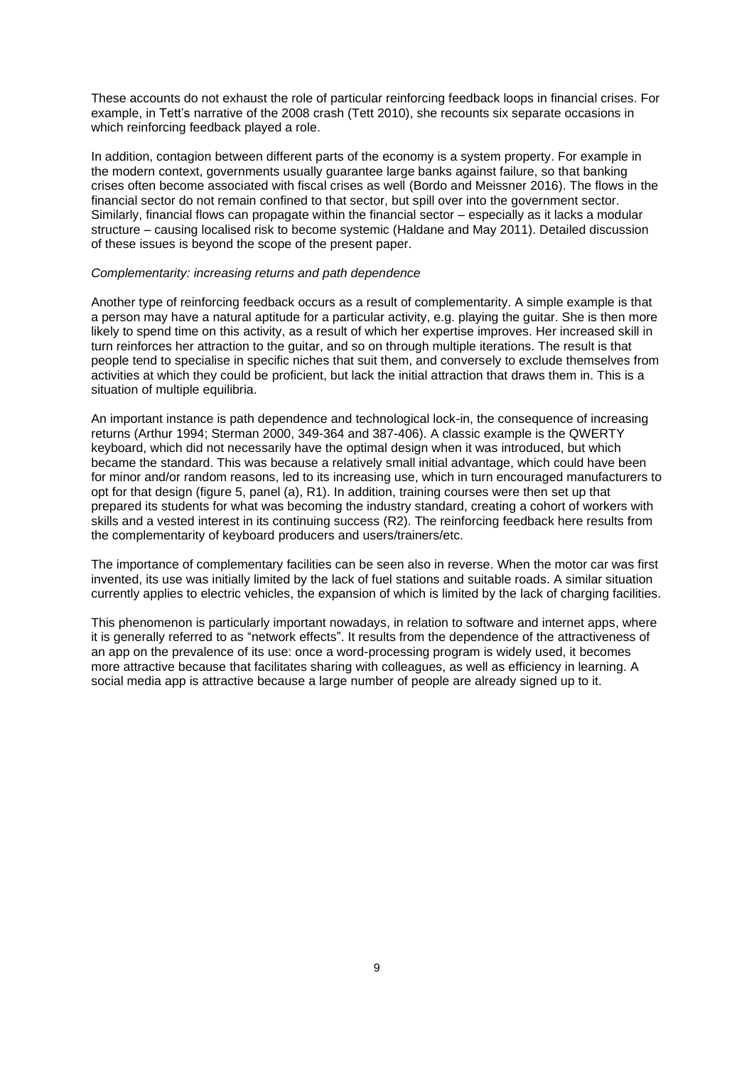These accounts do not exhaust the role of particular reinforcing feedback loops in financial crises. For example, in Tett's narrative of the 2008 crash (Tett 2010), she recounts six separate occasions in which reinforcing feedback played a role.

In addition, contagion between different parts of the economy is a system property. For example in the modern context, governments usually guarantee large banks against failure, so that banking crises often become associated with fiscal crises as well (Bordo and Meissner 2016). The flows in the financial sector do not remain confined to that sector, but spill over into the government sector. Similarly, financial flows can propagate within the financial sector – especially as it lacks a modular structure – causing localised risk to become systemic (Haldane and May 2011). Detailed discussion of these issues is beyond the scope of the present paper.

## *Complementarity: increasing returns and path dependence*

Another type of reinforcing feedback occurs as a result of complementarity. A simple example is that a person may have a natural aptitude for a particular activity, e.g. playing the guitar. She is then more likely to spend time on this activity, as a result of which her expertise improves. Her increased skill in turn reinforces her attraction to the guitar, and so on through multiple iterations. The result is that people tend to specialise in specific niches that suit them, and conversely to exclude themselves from activities at which they could be proficient, but lack the initial attraction that draws them in. This is a situation of multiple equilibria.

An important instance is path dependence and technological lock-in, the consequence of increasing returns (Arthur 1994; Sterman 2000, 349-364 and 387-406). A classic example is the QWERTY keyboard, which did not necessarily have the optimal design when it was introduced, but which became the standard. This was because a relatively small initial advantage, which could have been for minor and/or random reasons, led to its increasing use, which in turn encouraged manufacturers to opt for that design (figure 5, panel (a), R1). In addition, training courses were then set up that prepared its students for what was becoming the industry standard, creating a cohort of workers with skills and a vested interest in its continuing success (R2). The reinforcing feedback here results from the complementarity of keyboard producers and users/trainers/etc.

The importance of complementary facilities can be seen also in reverse. When the motor car was first invented, its use was initially limited by the lack of fuel stations and suitable roads. A similar situation currently applies to electric vehicles, the expansion of which is limited by the lack of charging facilities.

This phenomenon is particularly important nowadays, in relation to software and internet apps, where it is generally referred to as "network effects". It results from the dependence of the attractiveness of an app on the prevalence of its use: once a word-processing program is widely used, it becomes more attractive because that facilitates sharing with colleagues, as well as efficiency in learning. A social media app is attractive because a large number of people are already signed up to it.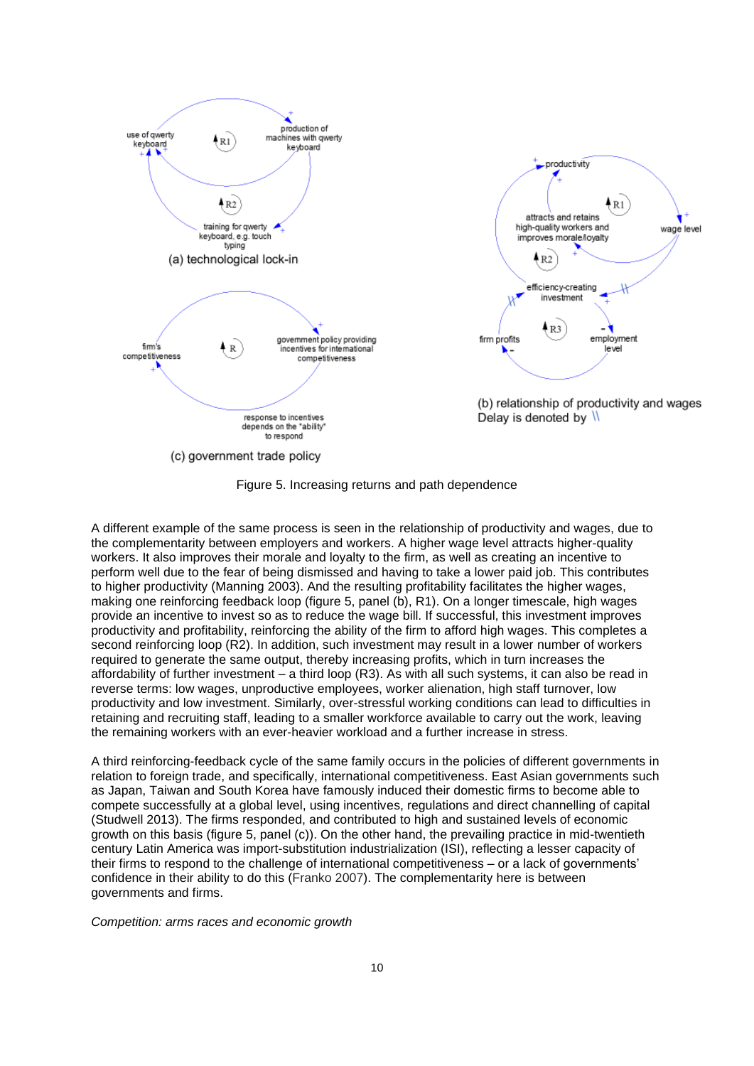

Figure 5. Increasing returns and path dependence

A different example of the same process is seen in the relationship of productivity and wages, due to the complementarity between employers and workers. A higher wage level attracts higher-quality workers. It also improves their morale and loyalty to the firm, as well as creating an incentive to perform well due to the fear of being dismissed and having to take a lower paid job. This contributes to higher productivity (Manning 2003). And the resulting profitability facilitates the higher wages, making one reinforcing feedback loop (figure 5, panel (b), R1). On a longer timescale, high wages provide an incentive to invest so as to reduce the wage bill. If successful, this investment improves productivity and profitability, reinforcing the ability of the firm to afford high wages. This completes a second reinforcing loop (R2). In addition, such investment may result in a lower number of workers required to generate the same output, thereby increasing profits, which in turn increases the affordability of further investment – a third loop (R3). As with all such systems, it can also be read in reverse terms: low wages, unproductive employees, worker alienation, high staff turnover, low productivity and low investment. Similarly, over-stressful working conditions can lead to difficulties in retaining and recruiting staff, leading to a smaller workforce available to carry out the work, leaving the remaining workers with an ever-heavier workload and a further increase in stress.

A third reinforcing-feedback cycle of the same family occurs in the policies of different governments in relation to foreign trade, and specifically, international competitiveness. East Asian governments such as Japan, Taiwan and South Korea have famously induced their domestic firms to become able to compete successfully at a global level, using incentives, regulations and direct channelling of capital (Studwell 2013). The firms responded, and contributed to high and sustained levels of economic growth on this basis (figure 5, panel (c)). On the other hand, the prevailing practice in mid-twentieth century Latin America was import-substitution industrialization (ISI), reflecting a lesser capacity of their firms to respond to the challenge of international competitiveness – or a lack of governments' confidence in their ability to do this (Franko 2007). The complementarity here is between governments and firms.

*Competition: arms races and economic growth*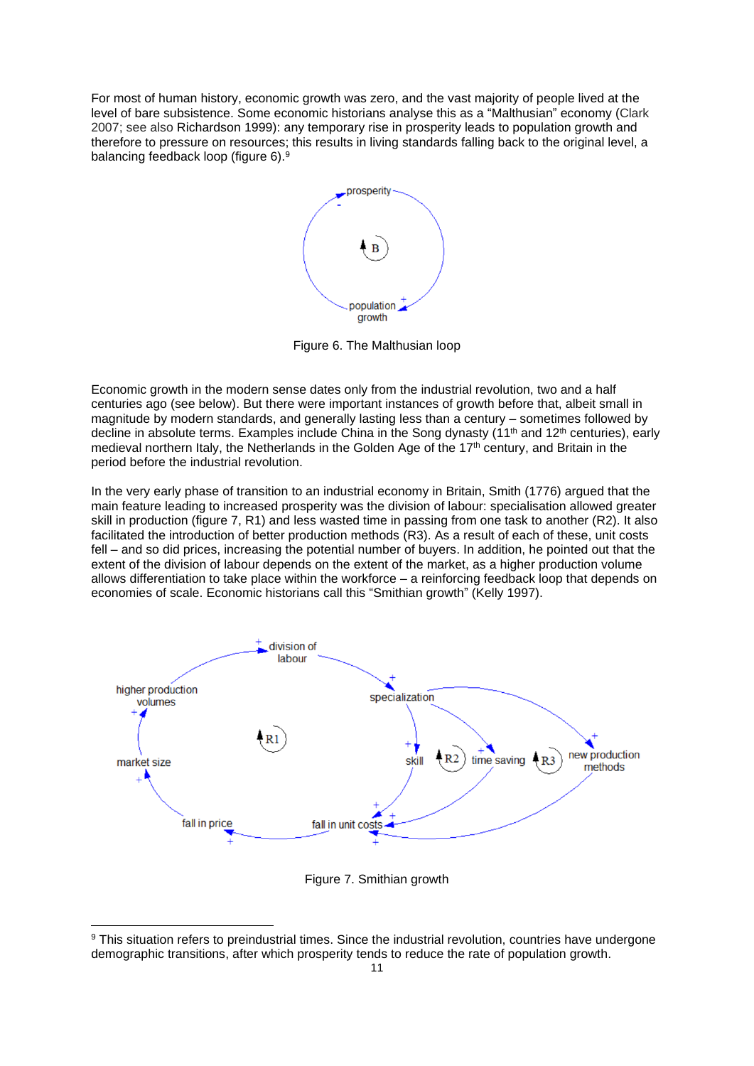For most of human history, economic growth was zero, and the vast majority of people lived at the level of bare subsistence. Some economic historians analyse this as a "Malthusian" economy (Clark 2007; see also Richardson 1999): any temporary rise in prosperity leads to population growth and therefore to pressure on resources; this results in living standards falling back to the original level, a balancing feedback loop (figure 6).<sup>9</sup>



Figure 6. The Malthusian loop

Economic growth in the modern sense dates only from the industrial revolution, two and a half centuries ago (see below). But there were important instances of growth before that, albeit small in magnitude by modern standards, and generally lasting less than a century – sometimes followed by decline in absolute terms. Examples include China in the Song dynasty (11<sup>th</sup> and 12<sup>th</sup> centuries), early medieval northern Italy, the Netherlands in the Golden Age of the 17th century, and Britain in the period before the industrial revolution.

In the very early phase of transition to an industrial economy in Britain, Smith (1776) argued that the main feature leading to increased prosperity was the division of labour: specialisation allowed greater skill in production (figure 7, R1) and less wasted time in passing from one task to another (R2). It also facilitated the introduction of better production methods (R3). As a result of each of these, unit costs fell – and so did prices, increasing the potential number of buyers. In addition, he pointed out that the extent of the division of labour depends on the extent of the market, as a higher production volume allows differentiation to take place within the workforce – a reinforcing feedback loop that depends on economies of scale. Economic historians call this "Smithian growth" (Kelly 1997).



Figure 7. Smithian growth

<sup>&</sup>lt;sup>9</sup> This situation refers to preindustrial times. Since the industrial revolution, countries have undergone demographic transitions, after which prosperity tends to reduce the rate of population growth.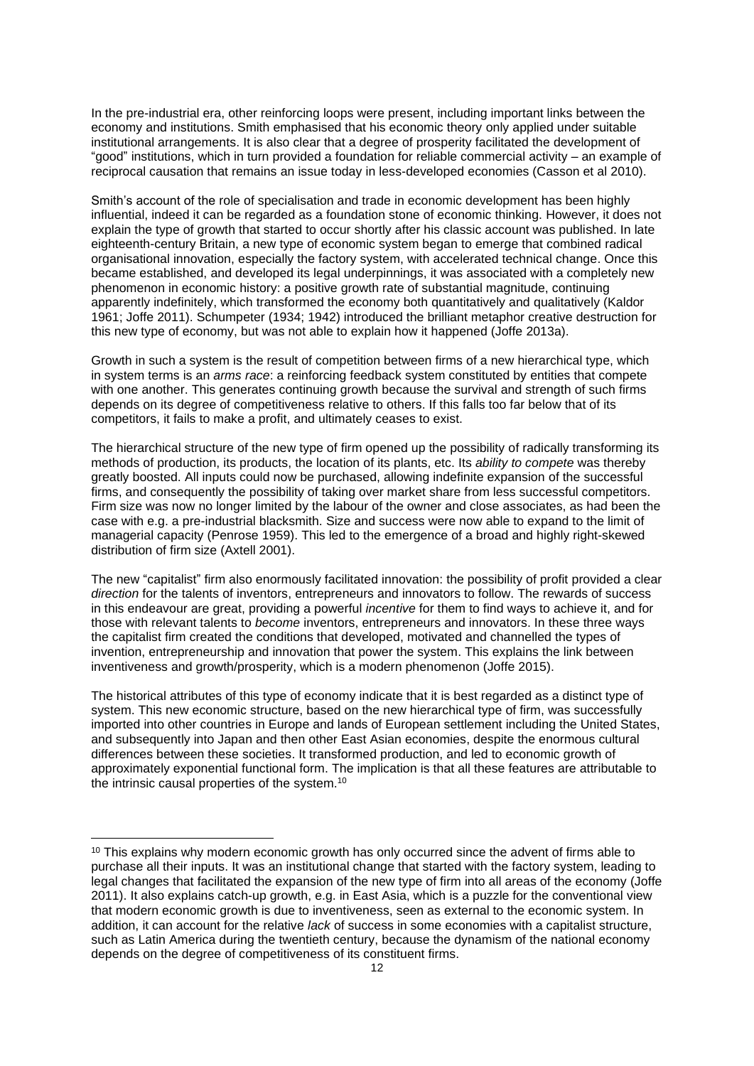In the pre-industrial era, other reinforcing loops were present, including important links between the economy and institutions. Smith emphasised that his economic theory only applied under suitable institutional arrangements. It is also clear that a degree of prosperity facilitated the development of "good" institutions, which in turn provided a foundation for reliable commercial activity – an example of reciprocal causation that remains an issue today in less-developed economies (Casson et al 2010).

Smith's account of the role of specialisation and trade in economic development has been highly influential, indeed it can be regarded as a foundation stone of economic thinking. However, it does not explain the type of growth that started to occur shortly after his classic account was published. In late eighteenth-century Britain, a new type of economic system began to emerge that combined radical organisational innovation, especially the factory system, with accelerated technical change. Once this became established, and developed its legal underpinnings, it was associated with a completely new phenomenon in economic history: a positive growth rate of substantial magnitude, continuing apparently indefinitely, which transformed the economy both quantitatively and qualitatively (Kaldor 1961; Joffe 2011). Schumpeter (1934; 1942) introduced the brilliant metaphor creative destruction for this new type of economy, but was not able to explain how it happened (Joffe 2013a).

Growth in such a system is the result of competition between firms of a new hierarchical type, which in system terms is an *arms race*: a reinforcing feedback system constituted by entities that compete with one another. This generates continuing growth because the survival and strength of such firms depends on its degree of competitiveness relative to others. If this falls too far below that of its competitors, it fails to make a profit, and ultimately ceases to exist.

The hierarchical structure of the new type of firm opened up the possibility of radically transforming its methods of production, its products, the location of its plants, etc. Its *ability to compete* was thereby greatly boosted. All inputs could now be purchased, allowing indefinite expansion of the successful firms, and consequently the possibility of taking over market share from less successful competitors. Firm size was now no longer limited by the labour of the owner and close associates, as had been the case with e.g. a pre-industrial blacksmith. Size and success were now able to expand to the limit of managerial capacity (Penrose 1959). This led to the emergence of a broad and highly right-skewed distribution of firm size (Axtell 2001).

The new "capitalist" firm also enormously facilitated innovation: the possibility of profit provided a clear *direction* for the talents of inventors, entrepreneurs and innovators to follow. The rewards of success in this endeavour are great, providing a powerful *incentive* for them to find ways to achieve it, and for those with relevant talents to *become* inventors, entrepreneurs and innovators. In these three ways the capitalist firm created the conditions that developed, motivated and channelled the types of invention, entrepreneurship and innovation that power the system. This explains the link between inventiveness and growth/prosperity, which is a modern phenomenon (Joffe 2015).

The historical attributes of this type of economy indicate that it is best regarded as a distinct type of system. This new economic structure, based on the new hierarchical type of firm, was successfully imported into other countries in Europe and lands of European settlement including the United States, and subsequently into Japan and then other East Asian economies, despite the enormous cultural differences between these societies. It transformed production, and led to economic growth of approximately exponential functional form. The implication is that all these features are attributable to the intrinsic causal properties of the system.<sup>10</sup>

<sup>&</sup>lt;sup>10</sup> This explains why modern economic growth has only occurred since the advent of firms able to purchase all their inputs. It was an institutional change that started with the factory system, leading to legal changes that facilitated the expansion of the new type of firm into all areas of the economy (Joffe 2011). It also explains catch-up growth, e.g. in East Asia, which is a puzzle for the conventional view that modern economic growth is due to inventiveness, seen as external to the economic system. In addition, it can account for the relative *lack* of success in some economies with a capitalist structure, such as Latin America during the twentieth century, because the dynamism of the national economy depends on the degree of competitiveness of its constituent firms.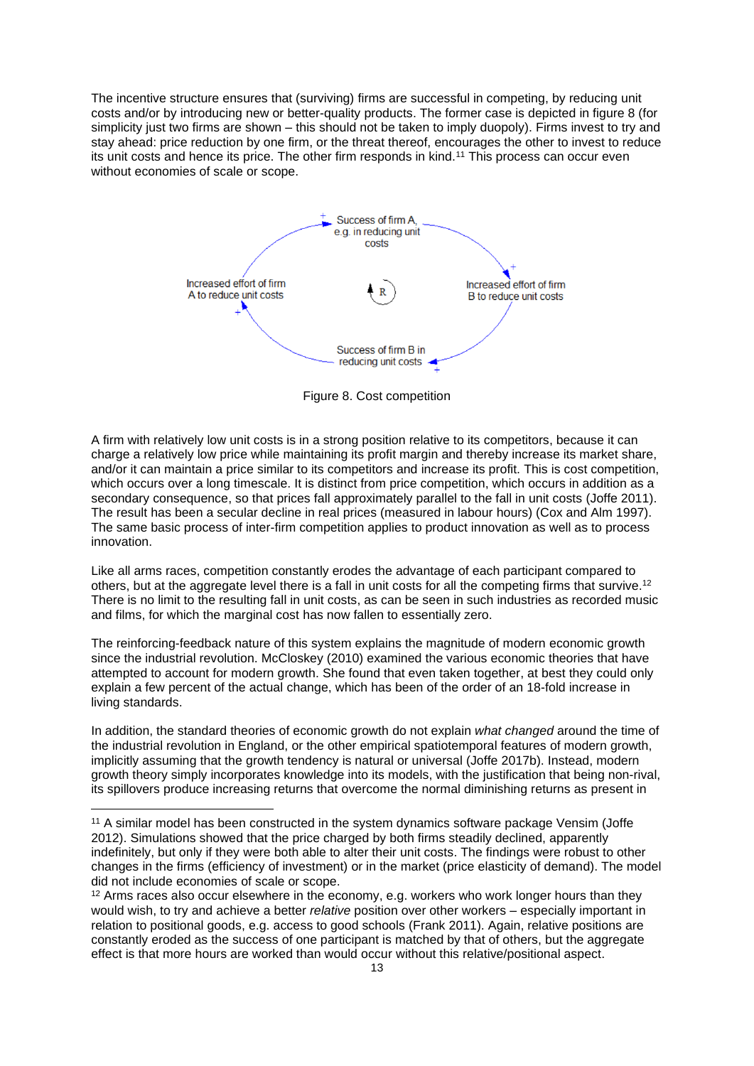The incentive structure ensures that (surviving) firms are successful in competing, by reducing unit costs and/or by introducing new or better-quality products. The former case is depicted in figure 8 (for simplicity just two firms are shown – this should not be taken to imply duopoly). Firms invest to try and stay ahead: price reduction by one firm, or the threat thereof, encourages the other to invest to reduce its unit costs and hence its price. The other firm responds in kind.<sup>11</sup> This process can occur even without economies of scale or scope.



Figure 8. Cost competition

A firm with relatively low unit costs is in a strong position relative to its competitors, because it can charge a relatively low price while maintaining its profit margin and thereby increase its market share, and/or it can maintain a price similar to its competitors and increase its profit. This is cost competition, which occurs over a long timescale. It is distinct from price competition, which occurs in addition as a secondary consequence, so that prices fall approximately parallel to the fall in unit costs (Joffe 2011). The result has been a secular decline in real prices (measured in labour hours) (Cox and Alm 1997). The same basic process of inter-firm competition applies to product innovation as well as to process innovation.

Like all arms races, competition constantly erodes the advantage of each participant compared to others, but at the aggregate level there is a fall in unit costs for all the competing firms that survive.<sup>12</sup> There is no limit to the resulting fall in unit costs, as can be seen in such industries as recorded music and films, for which the marginal cost has now fallen to essentially zero.

The reinforcing-feedback nature of this system explains the magnitude of modern economic growth since the industrial revolution. McCloskey (2010) examined the various economic theories that have attempted to account for modern growth. She found that even taken together, at best they could only explain a few percent of the actual change, which has been of the order of an 18-fold increase in living standards.

In addition, the standard theories of economic growth do not explain *what changed* around the time of the industrial revolution in England, or the other empirical spatiotemporal features of modern growth, implicitly assuming that the growth tendency is natural or universal (Joffe 2017b). Instead, modern growth theory simply incorporates knowledge into its models, with the justification that being non-rival, its spillovers produce increasing returns that overcome the normal diminishing returns as present in

<sup>&</sup>lt;sup>11</sup> A similar model has been constructed in the system dynamics software package Vensim (Joffe 2012). Simulations showed that the price charged by both firms steadily declined, apparently indefinitely, but only if they were both able to alter their unit costs. The findings were robust to other changes in the firms (efficiency of investment) or in the market (price elasticity of demand). The model did not include economies of scale or scope.

<sup>&</sup>lt;sup>12</sup> Arms races also occur elsewhere in the economy, e.g. workers who work longer hours than they would wish, to try and achieve a better *relative* position over other workers – especially important in relation to positional goods, e.g. access to good schools (Frank 2011). Again, relative positions are constantly eroded as the success of one participant is matched by that of others, but the aggregate effect is that more hours are worked than would occur without this relative/positional aspect.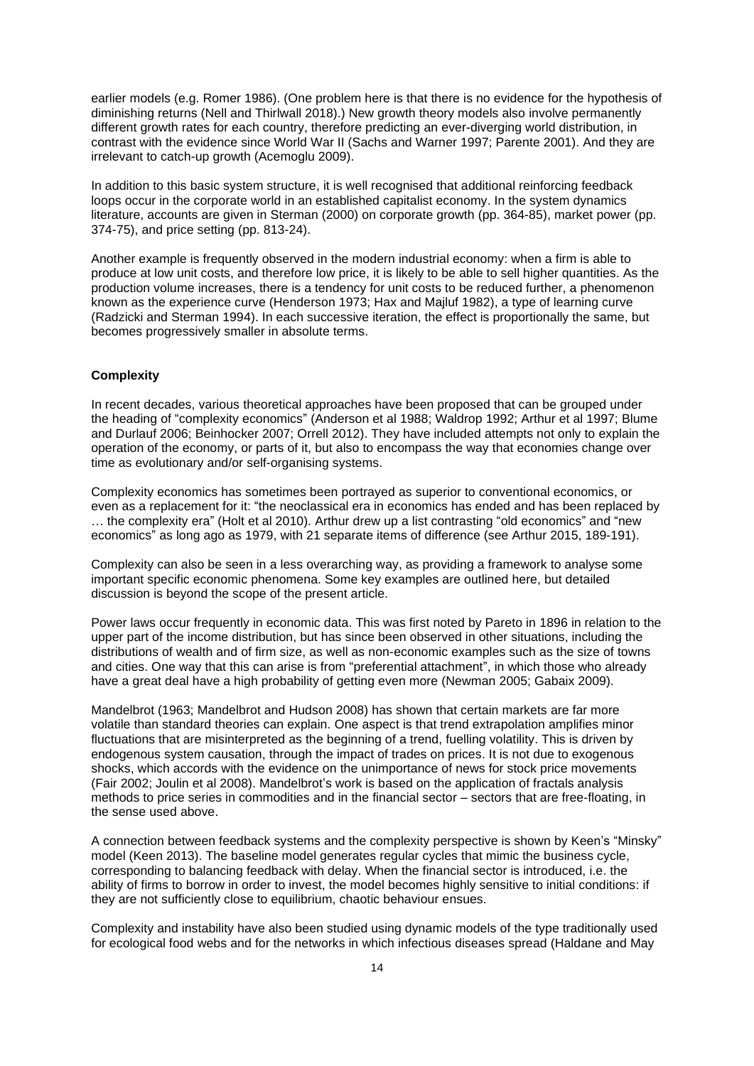earlier models (e.g. Romer 1986). (One problem here is that there is no evidence for the hypothesis of diminishing returns (Nell and Thirlwall 2018).) New growth theory models also involve permanently different growth rates for each country, therefore predicting an ever-diverging world distribution, in contrast with the evidence since World War II (Sachs and Warner 1997; Parente 2001). And they are irrelevant to catch-up growth (Acemoglu 2009).

In addition to this basic system structure, it is well recognised that additional reinforcing feedback loops occur in the corporate world in an established capitalist economy. In the system dynamics literature, accounts are given in Sterman (2000) on corporate growth (pp. 364-85), market power (pp. 374-75), and price setting (pp. 813-24).

Another example is frequently observed in the modern industrial economy: when a firm is able to produce at low unit costs, and therefore low price, it is likely to be able to sell higher quantities. As the production volume increases, there is a tendency for unit costs to be reduced further, a phenomenon known as the experience curve (Henderson 1973; Hax and Majluf 1982), a type of learning curve (Radzicki and Sterman 1994). In each successive iteration, the effect is proportionally the same, but becomes progressively smaller in absolute terms.

# **Complexity**

In recent decades, various theoretical approaches have been proposed that can be grouped under the heading of "complexity economics" (Anderson et al 1988; Waldrop 1992; Arthur et al 1997; Blume and Durlauf 2006; Beinhocker 2007; Orrell 2012). They have included attempts not only to explain the operation of the economy, or parts of it, but also to encompass the way that economies change over time as evolutionary and/or self-organising systems.

Complexity economics has sometimes been portrayed as superior to conventional economics, or even as a replacement for it: "the neoclassical era in economics has ended and has been replaced by … the complexity era" (Holt et al 2010). Arthur drew up a list contrasting "old economics" and "new economics" as long ago as 1979, with 21 separate items of difference (see Arthur 2015, 189-191).

Complexity can also be seen in a less overarching way, as providing a framework to analyse some important specific economic phenomena. Some key examples are outlined here, but detailed discussion is beyond the scope of the present article.

Power laws occur frequently in economic data. This was first noted by Pareto in 1896 in relation to the upper part of the income distribution, but has since been observed in other situations, including the distributions of wealth and of firm size, as well as non-economic examples such as the size of towns and cities. One way that this can arise is from "preferential attachment", in which those who already have a great deal have a high probability of getting even more (Newman 2005; Gabaix 2009).

Mandelbrot (1963; Mandelbrot and Hudson 2008) has shown that certain markets are far more volatile than standard theories can explain. One aspect is that trend extrapolation amplifies minor fluctuations that are misinterpreted as the beginning of a trend, fuelling volatility. This is driven by endogenous system causation, through the impact of trades on prices. It is not due to exogenous shocks, which accords with the evidence on the unimportance of news for stock price movements (Fair 2002; Joulin et al 2008). Mandelbrot's work is based on the application of fractals analysis methods to price series in commodities and in the financial sector – sectors that are free-floating, in the sense used above.

A connection between feedback systems and the complexity perspective is shown by Keen's "Minsky" model (Keen 2013). The baseline model generates regular cycles that mimic the business cycle, corresponding to balancing feedback with delay. When the financial sector is introduced, i.e. the ability of firms to borrow in order to invest, the model becomes highly sensitive to initial conditions: if they are not sufficiently close to equilibrium, chaotic behaviour ensues.

Complexity and instability have also been studied using dynamic models of the type traditionally used for ecological food webs and for the networks in which infectious diseases spread (Haldane and May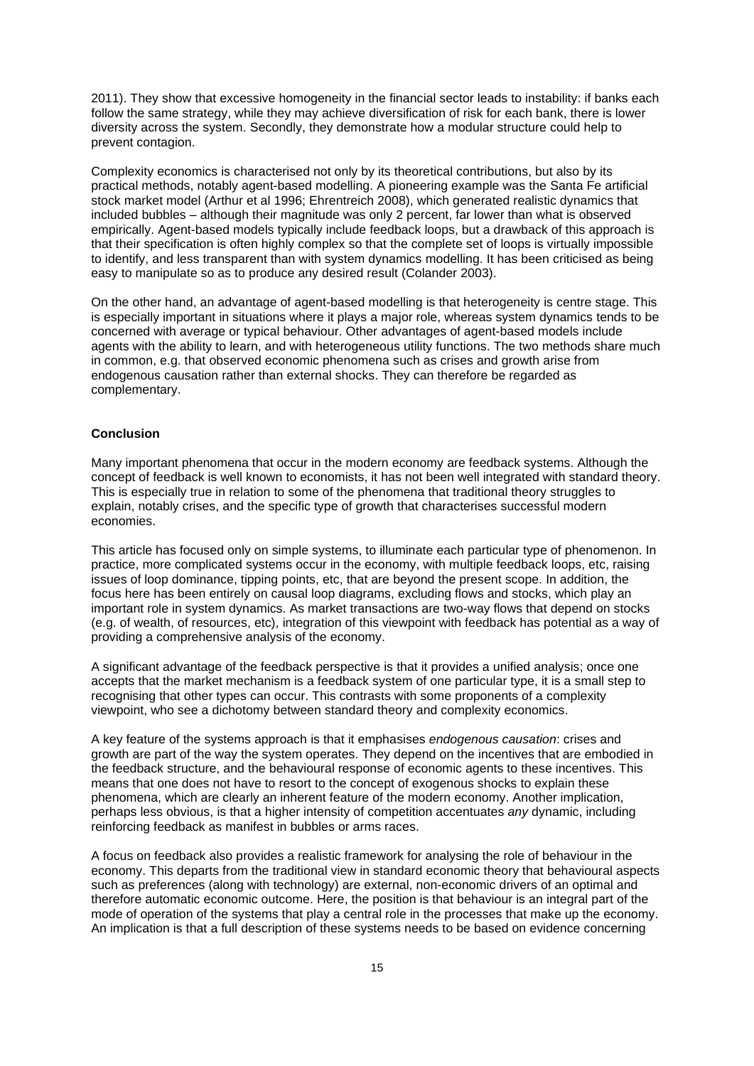2011). They show that excessive homogeneity in the financial sector leads to instability: if banks each follow the same strategy, while they may achieve diversification of risk for each bank, there is lower diversity across the system. Secondly, they demonstrate how a modular structure could help to prevent contagion.

Complexity economics is characterised not only by its theoretical contributions, but also by its practical methods, notably agent-based modelling. A pioneering example was the Santa Fe artificial stock market model (Arthur et al 1996; Ehrentreich 2008), which generated realistic dynamics that included bubbles – although their magnitude was only 2 percent, far lower than what is observed empirically. Agent-based models typically include feedback loops, but a drawback of this approach is that their specification is often highly complex so that the complete set of loops is virtually impossible to identify, and less transparent than with system dynamics modelling. It has been criticised as being easy to manipulate so as to produce any desired result (Colander 2003).

On the other hand, an advantage of agent-based modelling is that heterogeneity is centre stage. This is especially important in situations where it plays a major role, whereas system dynamics tends to be concerned with average or typical behaviour. Other advantages of agent-based models include agents with the ability to learn, and with heterogeneous utility functions. The two methods share much in common, e.g. that observed economic phenomena such as crises and growth arise from endogenous causation rather than external shocks. They can therefore be regarded as complementary.

### **Conclusion**

Many important phenomena that occur in the modern economy are feedback systems. Although the concept of feedback is well known to economists, it has not been well integrated with standard theory. This is especially true in relation to some of the phenomena that traditional theory struggles to explain, notably crises, and the specific type of growth that characterises successful modern economies.

This article has focused only on simple systems, to illuminate each particular type of phenomenon. In practice, more complicated systems occur in the economy, with multiple feedback loops, etc, raising issues of loop dominance, tipping points, etc, that are beyond the present scope. In addition, the focus here has been entirely on causal loop diagrams, excluding flows and stocks, which play an important role in system dynamics. As market transactions are two-way flows that depend on stocks (e.g. of wealth, of resources, etc), integration of this viewpoint with feedback has potential as a way of providing a comprehensive analysis of the economy.

A significant advantage of the feedback perspective is that it provides a unified analysis; once one accepts that the market mechanism is a feedback system of one particular type, it is a small step to recognising that other types can occur. This contrasts with some proponents of a complexity viewpoint, who see a dichotomy between standard theory and complexity economics.

A key feature of the systems approach is that it emphasises *endogenous causation*: crises and growth are part of the way the system operates. They depend on the incentives that are embodied in the feedback structure, and the behavioural response of economic agents to these incentives. This means that one does not have to resort to the concept of exogenous shocks to explain these phenomena, which are clearly an inherent feature of the modern economy. Another implication, perhaps less obvious, is that a higher intensity of competition accentuates *any* dynamic, including reinforcing feedback as manifest in bubbles or arms races.

A focus on feedback also provides a realistic framework for analysing the role of behaviour in the economy. This departs from the traditional view in standard economic theory that behavioural aspects such as preferences (along with technology) are external, non-economic drivers of an optimal and therefore automatic economic outcome. Here, the position is that behaviour is an integral part of the mode of operation of the systems that play a central role in the processes that make up the economy. An implication is that a full description of these systems needs to be based on evidence concerning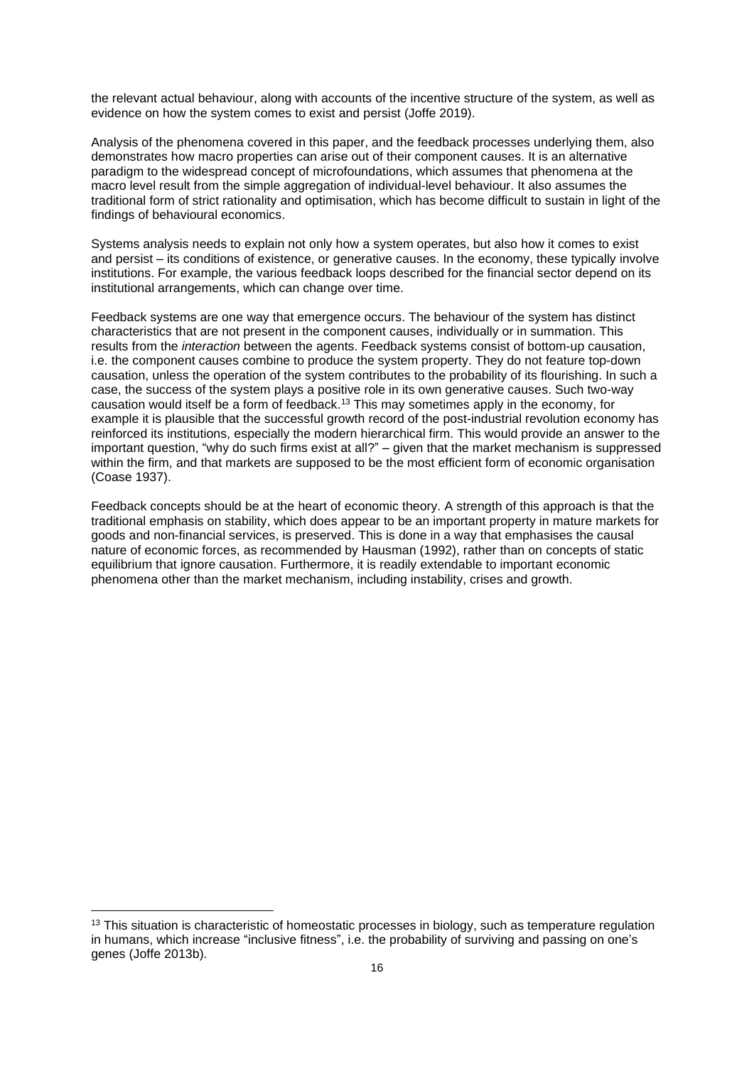the relevant actual behaviour, along with accounts of the incentive structure of the system, as well as evidence on how the system comes to exist and persist (Joffe 2019).

Analysis of the phenomena covered in this paper, and the feedback processes underlying them, also demonstrates how macro properties can arise out of their component causes. It is an alternative paradigm to the widespread concept of microfoundations, which assumes that phenomena at the macro level result from the simple aggregation of individual-level behaviour. It also assumes the traditional form of strict rationality and optimisation, which has become difficult to sustain in light of the findings of behavioural economics.

Systems analysis needs to explain not only how a system operates, but also how it comes to exist and persist – its conditions of existence, or generative causes. In the economy, these typically involve institutions. For example, the various feedback loops described for the financial sector depend on its institutional arrangements, which can change over time.

Feedback systems are one way that emergence occurs. The behaviour of the system has distinct characteristics that are not present in the component causes, individually or in summation. This results from the *interaction* between the agents. Feedback systems consist of bottom-up causation, i.e. the component causes combine to produce the system property. They do not feature top-down causation, unless the operation of the system contributes to the probability of its flourishing. In such a case, the success of the system plays a positive role in its own generative causes. Such two-way causation would itself be a form of feedback. <sup>13</sup> This may sometimes apply in the economy, for example it is plausible that the successful growth record of the post-industrial revolution economy has reinforced its institutions, especially the modern hierarchical firm. This would provide an answer to the important question, "why do such firms exist at all?" – given that the market mechanism is suppressed within the firm, and that markets are supposed to be the most efficient form of economic organisation (Coase 1937).

Feedback concepts should be at the heart of economic theory. A strength of this approach is that the traditional emphasis on stability, which does appear to be an important property in mature markets for goods and non-financial services, is preserved. This is done in a way that emphasises the causal nature of economic forces, as recommended by Hausman (1992), rather than on concepts of static equilibrium that ignore causation. Furthermore, it is readily extendable to important economic phenomena other than the market mechanism, including instability, crises and growth.

<sup>&</sup>lt;sup>13</sup> This situation is characteristic of homeostatic processes in biology, such as temperature regulation in humans, which increase "inclusive fitness", i.e. the probability of surviving and passing on one's genes (Joffe 2013b).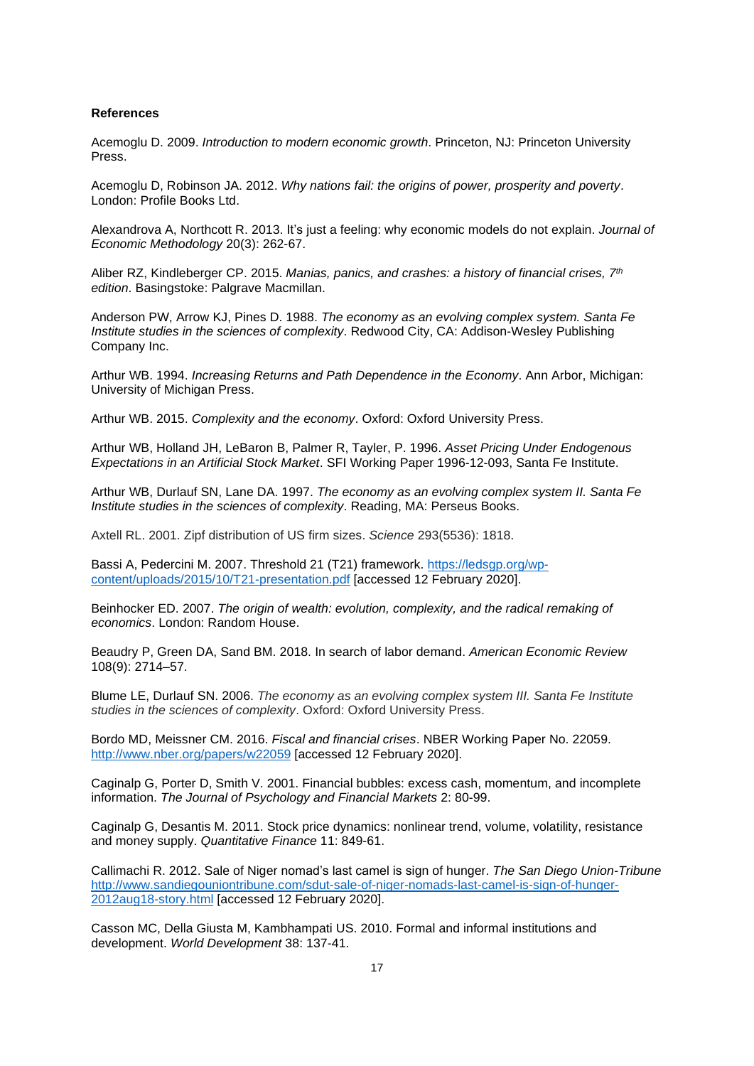#### **References**

Acemoglu D. 2009. *Introduction to modern economic growth*. Princeton, NJ: Princeton University Press.

Acemoglu D, Robinson JA. 2012. *Why nations fail: the origins of power, prosperity and poverty*. London: Profile Books Ltd.

Alexandrova A, Northcott R. 2013. It's just a feeling: why economic models do not explain. *Journal of Economic Methodology* 20(3): 262-67.

Aliber RZ, Kindleberger CP. 2015. *Manias, panics, and crashes: a history of financial crises, 7th edition*. Basingstoke: Palgrave Macmillan.

Anderson PW, Arrow KJ, Pines D. 1988. *The economy as an evolving complex system. Santa Fe Institute studies in the sciences of complexity*. Redwood City, CA: Addison-Wesley Publishing Company Inc.

Arthur WB. 1994. *Increasing Returns and Path Dependence in the Economy*. Ann Arbor, Michigan: University of Michigan Press.

Arthur WB. 2015. *Complexity and the economy*. Oxford: Oxford University Press.

Arthur WB, Holland JH, LeBaron B, Palmer R, Tayler, P. 1996. *Asset Pricing Under Endogenous Expectations in an Artificial Stock Market*. SFI Working Paper 1996-12-093, Santa Fe Institute.

Arthur WB, Durlauf SN, Lane DA. 1997. *The economy as an evolving complex system II. Santa Fe Institute studies in the sciences of complexity*. Reading, MA: Perseus Books.

Axtell RL. 2001. Zipf distribution of US firm sizes. *Science* 293(5536): 1818.

Bassi A, Pedercini M. 2007. Threshold 21 (T21) framework. [https://ledsgp.org/wp](https://ledsgp.org/wp-content/uploads/2015/10/T21-presentation.pdf)[content/uploads/2015/10/T21-presentation.pdf](https://ledsgp.org/wp-content/uploads/2015/10/T21-presentation.pdf) [accessed 12 February 2020].

Beinhocker ED. 2007. *The origin of wealth: evolution, complexity, and the radical remaking of economics*. London: Random House.

Beaudry P, Green DA, Sand BM. 2018. In search of labor demand. *American Economic Review* 108(9): 2714–57.

Blume LE, Durlauf SN. 2006. *The economy as an evolving complex system III. Santa Fe Institute studies in the sciences of complexity*. Oxford: Oxford University Press.

Bordo MD, Meissner CM. 2016. *Fiscal and financial crises*. NBER Working Paper No. 22059. <http://www.nber.org/papers/w22059> [accessed 12 February 2020].

Caginalp G, Porter D, Smith V. 2001. Financial bubbles: excess cash, momentum, and incomplete information. *The Journal of Psychology and Financial Markets* 2: 80-99.

Caginalp G, Desantis M. 2011. Stock price dynamics: nonlinear trend, volume, volatility, resistance and money supply. *Quantitative Finance* 11: 849-61.

Callimachi R. 2012. Sale of Niger nomad's last camel is sign of hunger. *The San Diego Union-Tribune* [http://www.sandiegouniontribune.com/sdut-sale-of-niger-nomads-last-camel-is-sign-of-hunger-](http://www.sandiegouniontribune.com/sdut-sale-of-niger-nomads-last-camel-is-sign-of-hunger-2012aug18-story.html)[2012aug18-story.html](http://www.sandiegouniontribune.com/sdut-sale-of-niger-nomads-last-camel-is-sign-of-hunger-2012aug18-story.html) [accessed 12 February 2020].

Casson MC, Della Giusta M, Kambhampati US. 2010. Formal and informal institutions and development. *World Development* 38: 137-41.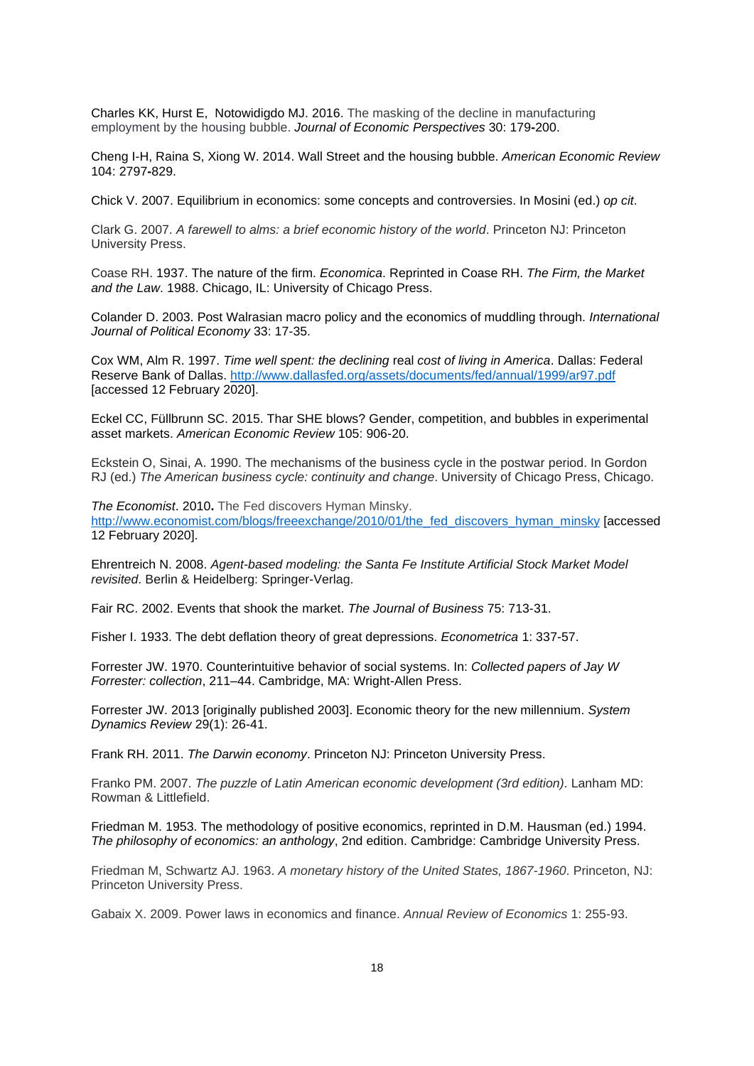Charles KK, Hurst E, Notowidigdo MJ. 2016. The masking of the decline in manufacturing employment by the housing bubble. *Journal of Economic Perspectives* 30: 179**-**200.

Cheng I-H, Raina S, Xiong W. 2014. Wall Street and the housing bubble. *American Economic Review* 104: 2797**-**829.

Chick V. 2007. Equilibrium in economics: some concepts and controversies. In Mosini (ed.) *op cit*.

Clark G. 2007. *A farewell to alms: a brief economic history of the world*. Princeton NJ: Princeton University Press.

Coase RH. 1937. The nature of the firm. *Economica*. Reprinted in Coase RH. *The Firm, the Market and the Law*. 1988. Chicago, IL: University of Chicago Press.

Colander D. 2003. Post Walrasian macro policy and the economics of muddling through. *International Journal of Political Economy* 33: 17-35.

Cox WM, Alm R. 1997. *Time well spent: the declining* real *cost of living in America*. Dallas: Federal Reserve Bank of Dallas.<http://www.dallasfed.org/assets/documents/fed/annual/1999/ar97.pdf> [accessed 12 February 2020].

Eckel CC, Füllbrunn SC. 2015. Thar SHE blows? Gender, competition, and bubbles in experimental asset markets. *American Economic Review* 105: 906-20.

Eckstein O, Sinai, A. 1990. The mechanisms of the business cycle in the postwar period. In Gordon RJ (ed.) *The American business cycle: continuity and change*. University of Chicago Press, Chicago.

*The Economist*. 2010**.** The Fed discovers Hyman Minsky. [http://www.economist.com/blogs/freeexchange/2010/01/the\\_fed\\_discovers\\_hyman\\_minsky](http://www.economist.com/blogs/freeexchange/2010/01/the_fed_discovers_hyman_minsky) [accessed 12 February 2020].

Ehrentreich N. 2008. *Agent-based modeling: the Santa Fe Institute Artificial Stock Market Model revisited*. Berlin & Heidelberg: Springer-Verlag.

Fair RC. 2002. Events that shook the market. *The Journal of Business* 75: 713-31.

Fisher I. 1933. The debt deflation theory of great depressions. *Econometrica* 1: 337-57.

Forrester JW. 1970. Counterintuitive behavior of social systems. In: *Collected papers of Jay W Forrester: collection*, 211–44. Cambridge, MA: Wright-Allen Press.

Forrester JW. 2013 [originally published 2003]. Economic theory for the new millennium. *System Dynamics Review* 29(1): 26-41.

Frank RH. 2011. *The Darwin economy*. Princeton NJ: Princeton University Press.

Franko PM. 2007. *The puzzle of Latin American economic development (3rd edition)*. Lanham MD: Rowman & Littlefield.

Friedman M. 1953. The methodology of positive economics, reprinted in D.M. Hausman (ed.) 1994. *The philosophy of economics: an anthology*, 2nd edition. Cambridge: Cambridge University Press.

Friedman M, Schwartz AJ. 1963. *A monetary history of the United States, 1867-1960*. Princeton, NJ: Princeton University Press.

Gabaix X. 2009. Power laws in economics and finance. *Annual Review of Economics* 1: 255-93.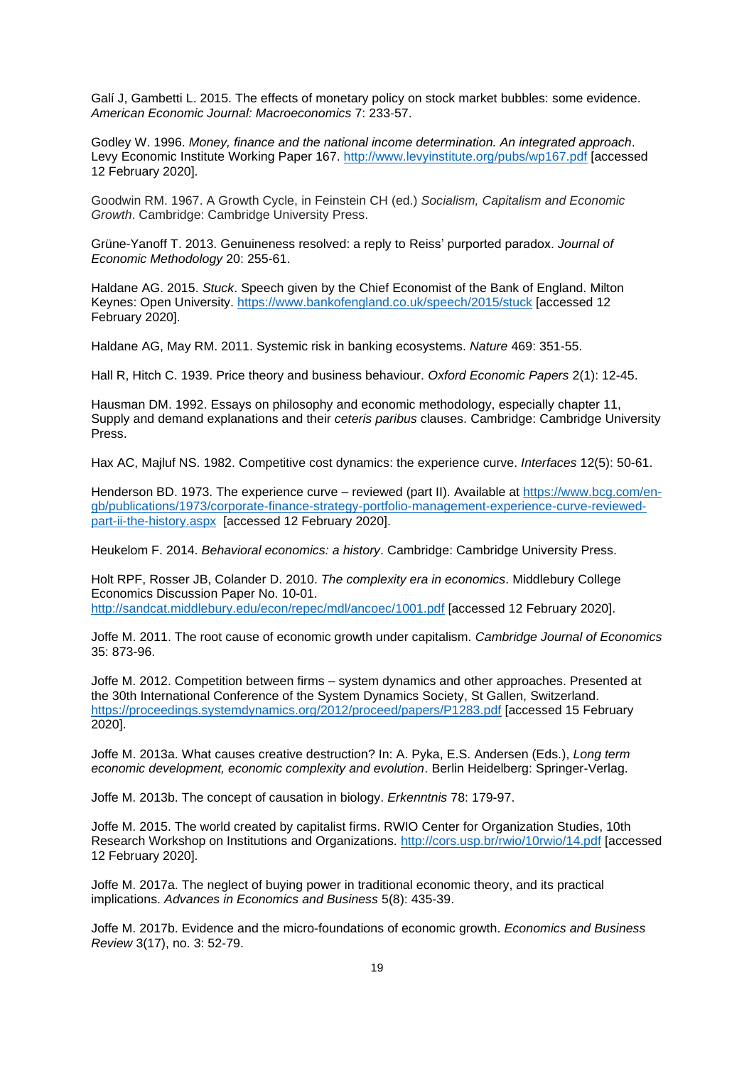Galí J, Gambetti L. 2015. The effects of monetary policy on stock market bubbles: some evidence. *American Economic Journal: Macroeconomics* 7: 233*-*57.

Godley W. 1996. *Money, finance and the national income determination. An integrated approach*. Levy Economic Institute Working Paper 167.<http://www.levyinstitute.org/pubs/wp167.pdf> [accessed 12 February 2020].

Goodwin RM. 1967. A Growth Cycle, in Feinstein CH (ed.) *Socialism, Capitalism and Economic Growth*. Cambridge: Cambridge University Press.

Grüne-Yanoff T. 2013. Genuineness resolved: a reply to Reiss' purported paradox. *Journal of Economic Methodology* 20: 255-61.

Haldane AG. 2015. *Stuck*. Speech given by the Chief Economist of the Bank of England. Milton Keynes: Open University.<https://www.bankofengland.co.uk/speech/2015/stuck> [accessed 12 February 2020].

Haldane AG, May RM. 2011. Systemic risk in banking ecosystems. *Nature* 469: 351-55.

Hall R, Hitch C. 1939. Price theory and business behaviour. *Oxford Economic Papers* 2(1): 12-45.

Hausman DM. 1992. Essays on philosophy and economic methodology, especially chapter 11, Supply and demand explanations and their *ceteris paribus* clauses. Cambridge: Cambridge University Press.

Hax AC, Majluf NS. 1982. Competitive cost dynamics: the experience curve. *Interfaces* 12(5): 50-61.

Henderson BD. 1973. The experience curve – reviewed (part II). Available at [https://www.bcg.com/en](https://www.bcg.com/en-gb/publications/1973/corporate-finance-strategy-portfolio-management-experience-curve-reviewed-part-ii-the-history.aspx)[gb/publications/1973/corporate-finance-strategy-portfolio-management-experience-curve-reviewed](https://www.bcg.com/en-gb/publications/1973/corporate-finance-strategy-portfolio-management-experience-curve-reviewed-part-ii-the-history.aspx)[part-ii-the-history.aspx](https://www.bcg.com/en-gb/publications/1973/corporate-finance-strategy-portfolio-management-experience-curve-reviewed-part-ii-the-history.aspx) [accessed 12 February 2020].

Heukelom F. 2014. *Behavioral economics: a history*. Cambridge: Cambridge University Press.

Holt RPF, Rosser JB, Colander D. 2010. *The complexity era in economics*. Middlebury College Economics Discussion Paper No. 10-01. <http://sandcat.middlebury.edu/econ/repec/mdl/ancoec/1001.pdf> [accessed 12 February 2020].

Joffe M. 2011. The root cause of economic growth under capitalism. *Cambridge Journal of Economics* 35: 873-96.

Joffe M. 2012. Competition between firms – system dynamics and other approaches. Presented at the 30th International Conference of the System Dynamics Society, St Gallen, Switzerland. <https://proceedings.systemdynamics.org/2012/proceed/papers/P1283.pdf> [accessed 15 February 2020].

Joffe M. 2013a. What causes creative destruction? In: A. Pyka, E.S. Andersen (Eds.), *Long term economic development, economic complexity and evolution*. Berlin Heidelberg: Springer-Verlag.

Joffe M. 2013b. The concept of causation in biology. *Erkenntnis* 78: 179-97.

Joffe M. 2015. The world created by capitalist firms. RWIO Center for Organization Studies, 10th Research Workshop on Institutions and Organizations. <http://cors.usp.br/rwio/10rwio/14.pdf> [accessed 12 February 2020].

Joffe M. 2017a. The neglect of buying power in traditional economic theory, and its practical implications. *Advances in Economics and Business* 5(8): 435-39.

Joffe M. 2017b. Evidence and the micro-foundations of economic growth. *Economics and Business Review* 3(17), no. 3: 52-79.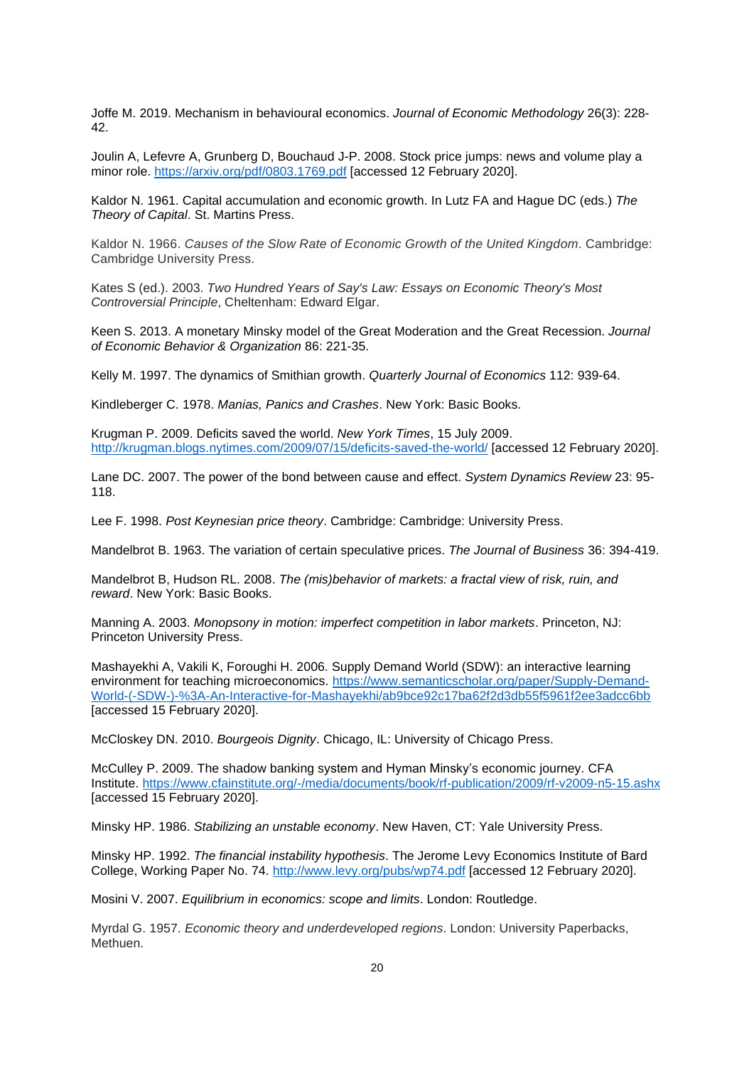Joffe M. 2019. Mechanism in behavioural economics. *Journal of Economic Methodology* 26(3): 228- 42.

Joulin A, Lefevre A, Grunberg D, Bouchaud J-P. 2008. Stock price jumps: news and volume play a minor role.<https://arxiv.org/pdf/0803.1769.pdf> [accessed 12 February 2020].

Kaldor N. 1961. Capital accumulation and economic growth. In Lutz FA and Hague DC (eds.) *The Theory of Capital*. St. Martins Press.

Kaldor N. 1966. *Causes of the Slow Rate of Economic Growth of the United Kingdom*. Cambridge: Cambridge University Press.

Kates S (ed.). 2003. *Two Hundred Years of Say's Law: Essays on Economic Theory's Most Controversial Principle*, Cheltenham: Edward Elgar.

Keen S. 2013. A monetary Minsky model of the Great Moderation and the Great Recession. *Journal of Economic Behavior & Organization* 86: 221-35.

Kelly M. 1997. The dynamics of Smithian growth. *Quarterly Journal of Economics* 112: 939-64.

Kindleberger C. 1978. *Manias, Panics and Crashes*. New York: Basic Books.

Krugman P. 2009. Deficits saved the world. *New York Times*, 15 July 2009. <http://krugman.blogs.nytimes.com/2009/07/15/deficits-saved-the-world/> [accessed 12 February 2020].

Lane DC. 2007. The power of the bond between cause and effect. *System Dynamics Review* 23: 95- 118.

Lee F. 1998. *Post Keynesian price theory*. Cambridge: Cambridge: University Press.

Mandelbrot B. 1963. The variation of certain speculative prices. *The Journal of Business* 36: 394-419.

Mandelbrot B, Hudson RL. 2008. *The (mis)behavior of markets: a fractal view of risk, ruin, and reward*. New York: Basic Books.

Manning A. 2003. *Monopsony in motion: imperfect competition in labor markets*. Princeton, NJ: Princeton University Press.

Mashayekhi A, Vakili K, Foroughi H. 2006. Supply Demand World (SDW): an interactive learning environment for teaching microeconomics. [https://www.semanticscholar.org/paper/Supply-Demand-](https://www.semanticscholar.org/paper/Supply-Demand-World-(-SDW-)-%3A-An-Interactive-for-Mashayekhi/ab9bce92c17ba62f2d3db55f5961f2ee3adcc6bb)[World-\(-SDW-\)-%3A-An-Interactive-for-Mashayekhi/ab9bce92c17ba62f2d3db55f5961f2ee3adcc6bb](https://www.semanticscholar.org/paper/Supply-Demand-World-(-SDW-)-%3A-An-Interactive-for-Mashayekhi/ab9bce92c17ba62f2d3db55f5961f2ee3adcc6bb) [accessed 15 February 2020].

McCloskey DN. 2010. *Bourgeois Dignity*. Chicago, IL: University of Chicago Press.

McCulley P. 2009. The shadow banking system and Hyman Minsky's economic journey. CFA Institute. <https://www.cfainstitute.org/-/media/documents/book/rf-publication/2009/rf-v2009-n5-15.ashx> [accessed 15 February 2020].

Minsky HP. 1986. *Stabilizing an unstable economy*. New Haven, CT: Yale University Press.

Minsky HP. 1992. *The financial instability hypothesis*. The Jerome Levy Economics Institute of Bard College, Working Paper No. 74.<http://www.levy.org/pubs/wp74.pdf> [accessed 12 February 2020].

Mosini V. 2007. *Equilibrium in economics: scope and limits*. London: Routledge.

Myrdal G. 1957. *Economic theory and underdeveloped regions*. London: University Paperbacks, Methuen.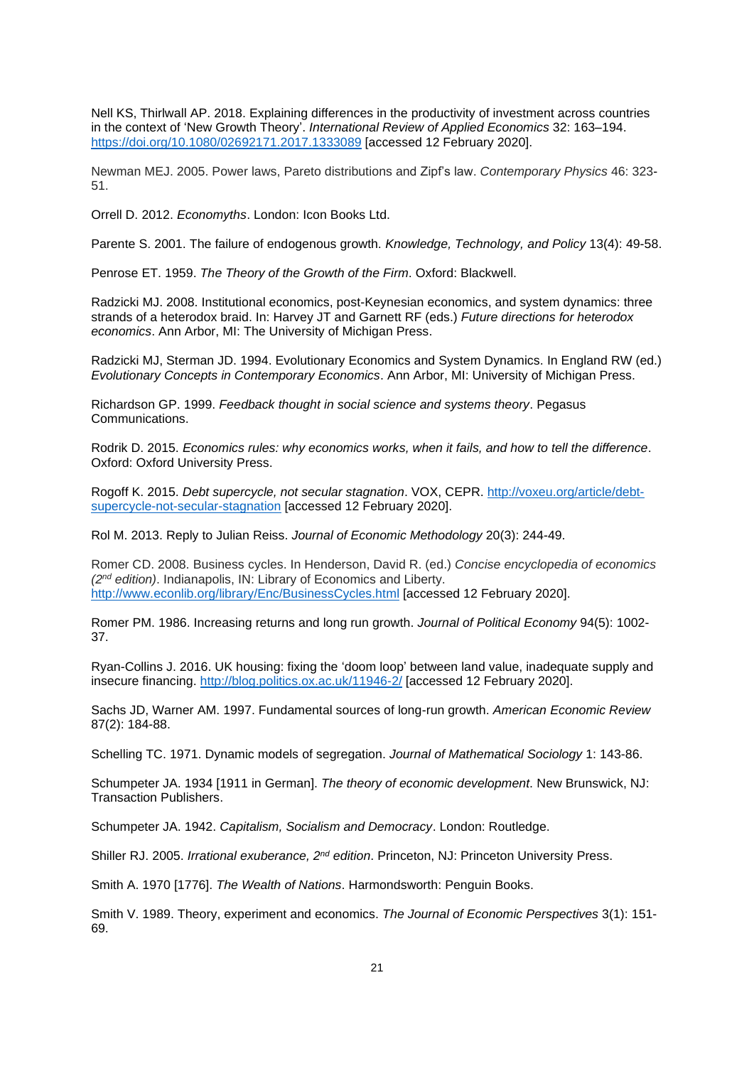Nell KS, Thirlwall AP. 2018. Explaining differences in the productivity of investment across countries in the context of 'New Growth Theory'. *International Review of Applied Economics* 32: 163–194. <https://doi.org/10.1080/02692171.2017.1333089> [accessed 12 February 2020].

Newman MEJ. 2005. Power laws, Pareto distributions and Zipf's law. *Contemporary Physics* 46: 323- 51.

Orrell D. 2012. *Economyths*. London: Icon Books Ltd.

Parente S. 2001. The failure of endogenous growth. *Knowledge, Technology, and Policy* 13(4): 49-58.

Penrose ET. 1959. *The Theory of the Growth of the Firm*. Oxford: Blackwell.

Radzicki MJ. 2008. Institutional economics, post-Keynesian economics, and system dynamics: three strands of a heterodox braid. In: Harvey JT and Garnett RF (eds.) *Future directions for heterodox economics*. Ann Arbor, MI: The University of Michigan Press.

Radzicki MJ, Sterman JD. 1994. Evolutionary Economics and System Dynamics. In England RW (ed.) *Evolutionary Concepts in Contemporary Economics*. Ann Arbor, MI: University of Michigan Press.

Richardson GP. 1999. *Feedback thought in social science and systems theory*. Pegasus Communications.

Rodrik D. 2015. *Economics rules: why economics works, when it fails, and how to tell the difference*. Oxford: Oxford University Press.

Rogoff K. 2015. *Debt supercycle, not secular stagnation*. VOX, CEPR. [http://voxeu.org/article/debt](http://voxeu.org/article/debt-supercycle-not-secular-stagnation)[supercycle-not-secular-stagnation](http://voxeu.org/article/debt-supercycle-not-secular-stagnation) [accessed 12 February 2020].

Rol M. 2013. Reply to Julian Reiss. *Journal of Economic Methodology* 20(3): 244-49.

Romer CD. 2008. Business cycles. In Henderson, David R. (ed.) *Concise encyclopedia of economics (2nd edition)*. Indianapolis, IN: Library of Economics and Liberty. <http://www.econlib.org/library/Enc/BusinessCycles.html> [accessed 12 February 2020].

Romer PM. 1986. Increasing returns and long run growth. *Journal of Political Economy* 94(5): 1002- 37.

Ryan-Collins J. 2016. UK housing: fixing the 'doom loop' between land value, inadequate supply and insecure financing.<http://blog.politics.ox.ac.uk/11946-2/> [accessed 12 February 2020].

Sachs JD, Warner AM. 1997. Fundamental sources of long-run growth. *American Economic Review* 87(2): 184-88.

Schelling TC. 1971. Dynamic models of segregation. *Journal of Mathematical Sociology* 1: 143-86.

Schumpeter JA. 1934 [1911 in German]. *The theory of economic development*. New Brunswick, NJ: Transaction Publishers.

Schumpeter JA. 1942. *Capitalism, Socialism and Democracy*. London: Routledge.

Shiller RJ. 2005. *Irrational exuberance, 2nd edition*. Princeton, NJ: Princeton University Press.

Smith A. 1970 [1776]. *The Wealth of Nations*. Harmondsworth: Penguin Books.

Smith V. 1989. Theory, experiment and economics. *The Journal of Economic Perspectives* 3(1): 151- 69.